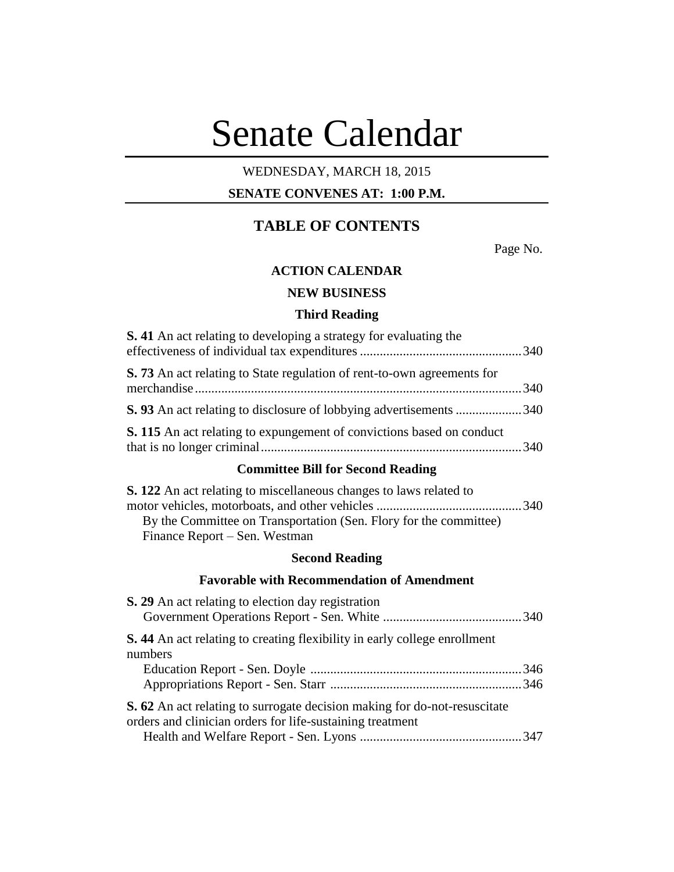# Senate Calendar

# WEDNESDAY, MARCH 18, 2015

# **SENATE CONVENES AT: 1:00 P.M.**

# **TABLE OF CONTENTS**

Page No.

# **ACTION CALENDAR**

# **NEW BUSINESS**

# **Third Reading**

| <b>S.</b> 41 An act relating to developing a strategy for evaluating the                                                                                                        |  |  |  |
|---------------------------------------------------------------------------------------------------------------------------------------------------------------------------------|--|--|--|
| S. 73 An act relating to State regulation of rent-to-own agreements for<br>merchandise.                                                                                         |  |  |  |
| S. 93 An act relating to disclosure of lobbying advertisements  340                                                                                                             |  |  |  |
| S. 115 An act relating to expungement of convictions based on conduct                                                                                                           |  |  |  |
| <b>Committee Bill for Second Reading</b>                                                                                                                                        |  |  |  |
| <b>S. 122</b> An act relating to miscellaneous changes to laws related to<br>By the Committee on Transportation (Sen. Flory for the committee)<br>Finance Report – Sen. Westman |  |  |  |
| <b>Second Reading</b>                                                                                                                                                           |  |  |  |
| <b>Favorable with Recommendation of Amendment</b>                                                                                                                               |  |  |  |
| <b>S. 29</b> An act relating to election day registration                                                                                                                       |  |  |  |
| <b>S.</b> 44 An act relating to creating flexibility in early college enrollment<br>numbers                                                                                     |  |  |  |
|                                                                                                                                                                                 |  |  |  |
| <b>S. 62</b> An act relating to surrogate decision making for do-not-resuscitate<br>orders and clinician orders for life-sustaining treatment                                   |  |  |  |
|                                                                                                                                                                                 |  |  |  |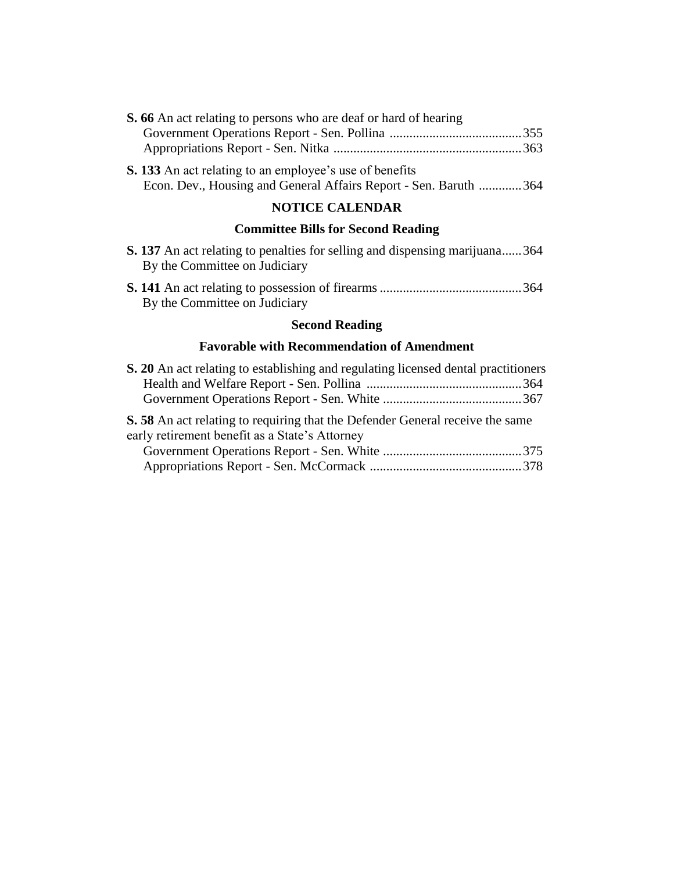| S. 66 An act relating to persons who are deaf or hard of hearing                                                                   |  |  |  |
|------------------------------------------------------------------------------------------------------------------------------------|--|--|--|
|                                                                                                                                    |  |  |  |
|                                                                                                                                    |  |  |  |
| <b>S. 133</b> An act relating to an employee's use of benefits<br>Econ. Dev., Housing and General Affairs Report - Sen. Baruth 364 |  |  |  |
| <b>NOTICE CALENDAR</b>                                                                                                             |  |  |  |

# **Committee Bills for Second Reading**

|                                                   | <b>S. 137</b> An act relating to penalties for selling and dispensing marijuana364<br>By the Committee on Judiciary |  |  |  |  |
|---------------------------------------------------|---------------------------------------------------------------------------------------------------------------------|--|--|--|--|
|                                                   | By the Committee on Judiciary                                                                                       |  |  |  |  |
|                                                   | <b>Second Reading</b>                                                                                               |  |  |  |  |
| <b>Favorable with Recommendation of Amendment</b> |                                                                                                                     |  |  |  |  |
|                                                   | S. 20 An act relating to establishing and regulating licensed dental practitioners                                  |  |  |  |  |

| S. 58 An act relating to requiring that the Defender General receive the same |  |
|-------------------------------------------------------------------------------|--|
| early retirement benefit as a State's Attorney                                |  |
|                                                                               |  |
|                                                                               |  |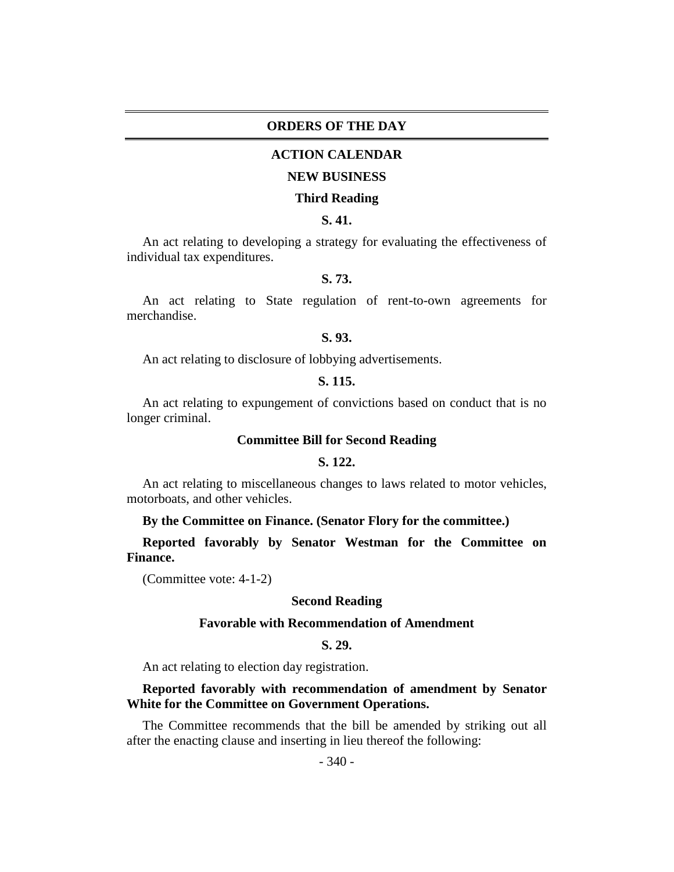#### **ORDERS OF THE DAY**

#### **ACTION CALENDAR**

#### **NEW BUSINESS**

#### **Third Reading**

# **S. 41.**

An act relating to developing a strategy for evaluating the effectiveness of individual tax expenditures.

# **S. 73.**

An act relating to State regulation of rent-to-own agreements for merchandise.

#### **S. 93.**

An act relating to disclosure of lobbying advertisements.

#### **S. 115.**

An act relating to expungement of convictions based on conduct that is no longer criminal.

#### **Committee Bill for Second Reading**

#### **S. 122.**

An act relating to miscellaneous changes to laws related to motor vehicles, motorboats, and other vehicles.

#### **By the Committee on Finance. (Senator Flory for the committee.)**

**Reported favorably by Senator Westman for the Committee on Finance.**

(Committee vote: 4-1-2)

#### **Second Reading**

#### **Favorable with Recommendation of Amendment**

### **S. 29.**

An act relating to election day registration.

#### **Reported favorably with recommendation of amendment by Senator White for the Committee on Government Operations.**

The Committee recommends that the bill be amended by striking out all after the enacting clause and inserting in lieu thereof the following: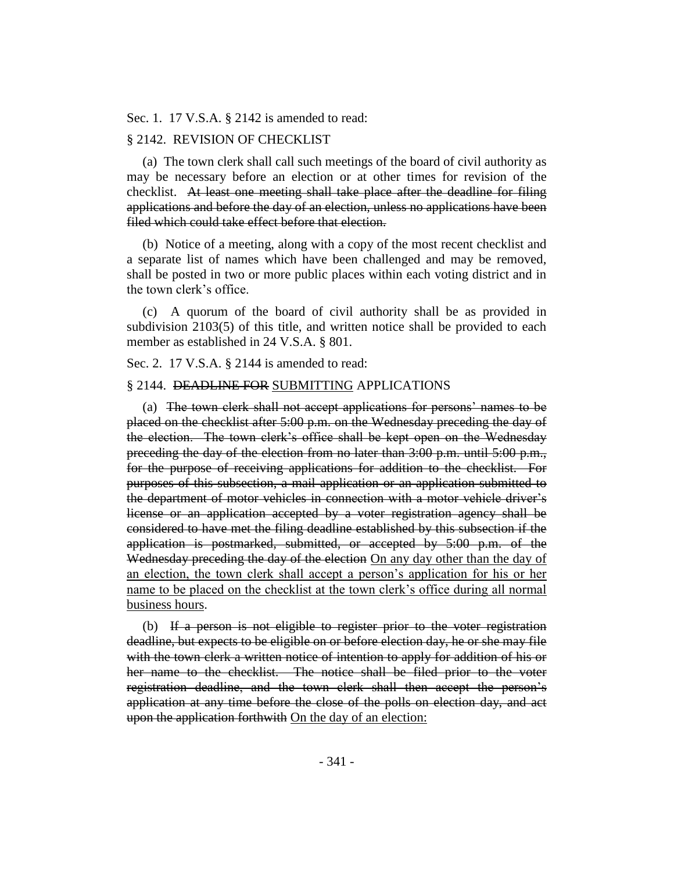Sec. 1. 17 V.S.A. § 2142 is amended to read:

### § 2142. REVISION OF CHECKLIST

(a) The town clerk shall call such meetings of the board of civil authority as may be necessary before an election or at other times for revision of the checklist. At least one meeting shall take place after the deadline for filing applications and before the day of an election, unless no applications have been filed which could take effect before that election.

(b) Notice of a meeting, along with a copy of the most recent checklist and a separate list of names which have been challenged and may be removed, shall be posted in two or more public places within each voting district and in the town clerk's office.

(c) A quorum of the board of civil authority shall be as provided in subdivision 2103(5) of this title, and written notice shall be provided to each member as established in 24 V.S.A. § 801.

Sec. 2. 17 V.S.A. § 2144 is amended to read:

#### § 2144. DEADLINE FOR SUBMITTING APPLICATIONS

(a) The town clerk shall not accept applications for persons' names to be placed on the checklist after 5:00 p.m. on the Wednesday preceding the day of the election. The town clerk's office shall be kept open on the Wednesday preceding the day of the election from no later than 3:00 p.m. until 5:00 p.m., for the purpose of receiving applications for addition to the checklist. For purposes of this subsection, a mail application or an application submitted to the department of motor vehicles in connection with a motor vehicle driver's license or an application accepted by a voter registration agency shall be considered to have met the filing deadline established by this subsection if the application is postmarked, submitted, or accepted by 5:00 p.m. of the Wednesday preceding the day of the election On any day other than the day of an election, the town clerk shall accept a person's application for his or her name to be placed on the checklist at the town clerk's office during all normal business hours.

(b) If a person is not eligible to register prior to the voter registration deadline, but expects to be eligible on or before election day, he or she may file with the town clerk a written notice of intention to apply for addition of his or her name to the checklist. The notice shall be filed prior to the voter registration deadline, and the town clerk shall then accept the person's application at any time before the close of the polls on election day, and act upon the application forthwith On the day of an election: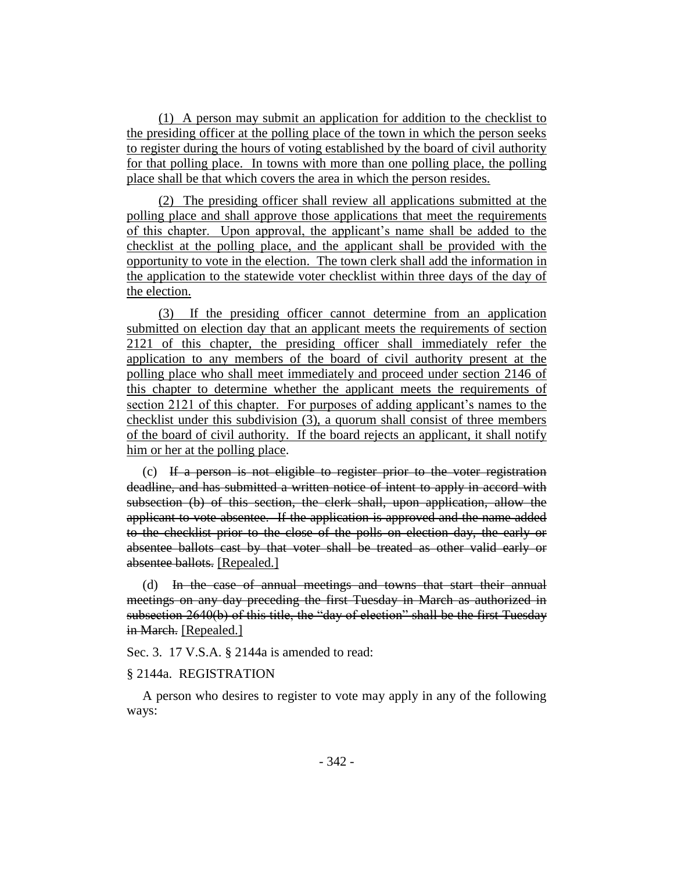(1) A person may submit an application for addition to the checklist to the presiding officer at the polling place of the town in which the person seeks to register during the hours of voting established by the board of civil authority for that polling place. In towns with more than one polling place, the polling place shall be that which covers the area in which the person resides.

(2) The presiding officer shall review all applications submitted at the polling place and shall approve those applications that meet the requirements of this chapter. Upon approval, the applicant's name shall be added to the checklist at the polling place, and the applicant shall be provided with the opportunity to vote in the election. The town clerk shall add the information in the application to the statewide voter checklist within three days of the day of the election.

(3) If the presiding officer cannot determine from an application submitted on election day that an applicant meets the requirements of section 2121 of this chapter, the presiding officer shall immediately refer the application to any members of the board of civil authority present at the polling place who shall meet immediately and proceed under section 2146 of this chapter to determine whether the applicant meets the requirements of section 2121 of this chapter. For purposes of adding applicant's names to the checklist under this subdivision (3), a quorum shall consist of three members of the board of civil authority. If the board rejects an applicant, it shall notify him or her at the polling place.

(c) If a person is not eligible to register prior to the voter registration deadline, and has submitted a written notice of intent to apply in accord with subsection (b) of this section, the clerk shall, upon application, allow the applicant to vote absentee. If the application is approved and the name added to the checklist prior to the close of the polls on election day, the early or absentee ballots cast by that voter shall be treated as other valid early or absentee ballots. [Repealed.]

(d) In the case of annual meetings and towns that start their annual meetings on any day preceding the first Tuesday in March as authorized in subsection 2640(b) of this title, the "day of election" shall be the first Tuesday in March. [Repealed.]

Sec. 3. 17 V.S.A. § 2144a is amended to read:

#### § 2144a. REGISTRATION

A person who desires to register to vote may apply in any of the following ways: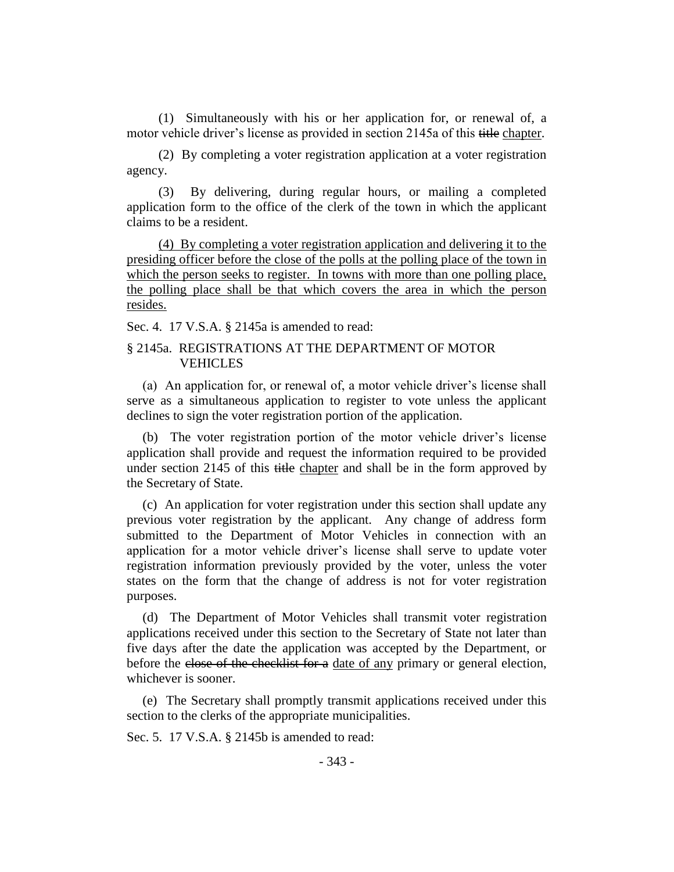(1) Simultaneously with his or her application for, or renewal of, a motor vehicle driver's license as provided in section 2145a of this title chapter.

(2) By completing a voter registration application at a voter registration agency.

(3) By delivering, during regular hours, or mailing a completed application form to the office of the clerk of the town in which the applicant claims to be a resident.

(4) By completing a voter registration application and delivering it to the presiding officer before the close of the polls at the polling place of the town in which the person seeks to register. In towns with more than one polling place, the polling place shall be that which covers the area in which the person resides.

Sec. 4. 17 V.S.A. § 2145a is amended to read:

# § 2145a. REGISTRATIONS AT THE DEPARTMENT OF MOTOR VEHICLES

(a) An application for, or renewal of, a motor vehicle driver's license shall serve as a simultaneous application to register to vote unless the applicant declines to sign the voter registration portion of the application.

(b) The voter registration portion of the motor vehicle driver's license application shall provide and request the information required to be provided under section 2145 of this title chapter and shall be in the form approved by the Secretary of State.

(c) An application for voter registration under this section shall update any previous voter registration by the applicant. Any change of address form submitted to the Department of Motor Vehicles in connection with an application for a motor vehicle driver's license shall serve to update voter registration information previously provided by the voter, unless the voter states on the form that the change of address is not for voter registration purposes.

(d) The Department of Motor Vehicles shall transmit voter registration applications received under this section to the Secretary of State not later than five days after the date the application was accepted by the Department, or before the close of the checklist for a date of any primary or general election, whichever is sooner.

(e) The Secretary shall promptly transmit applications received under this section to the clerks of the appropriate municipalities.

Sec. 5. 17 V.S.A. § 2145b is amended to read: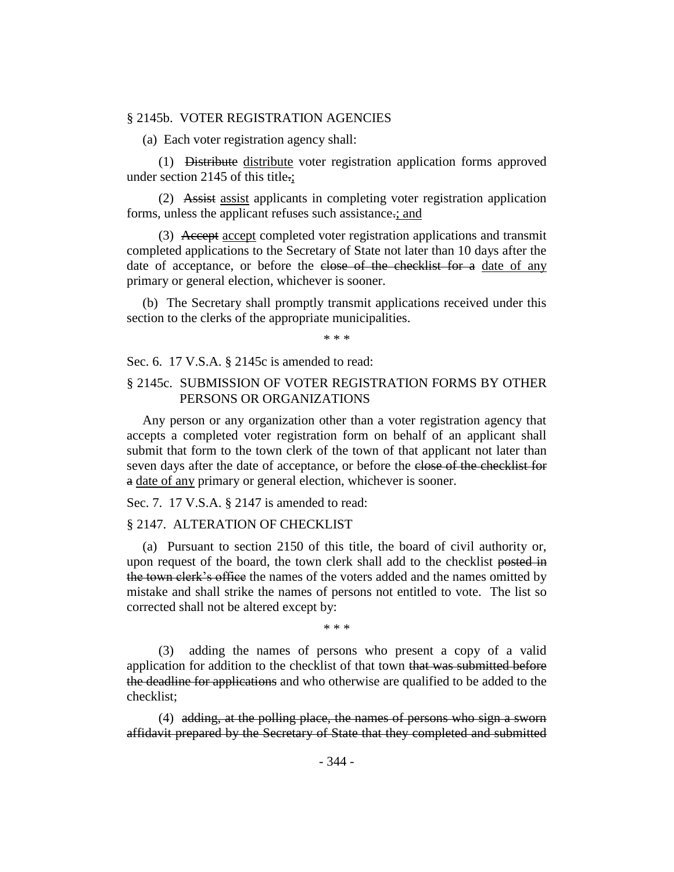#### § 2145b. VOTER REGISTRATION AGENCIES

(a) Each voter registration agency shall:

(1) Distribute distribute voter registration application forms approved under section 2145 of this title.;

(2) Assist assist applicants in completing voter registration application forms, unless the applicant refuses such assistance.; and

(3) Accept accept completed voter registration applications and transmit completed applications to the Secretary of State not later than 10 days after the date of acceptance, or before the close of the checklist for a date of any primary or general election, whichever is sooner.

(b) The Secretary shall promptly transmit applications received under this section to the clerks of the appropriate municipalities.

\* \* \*

Sec. 6. 17 V.S.A. § 2145c is amended to read:

#### § 2145c. SUBMISSION OF VOTER REGISTRATION FORMS BY OTHER PERSONS OR ORGANIZATIONS

Any person or any organization other than a voter registration agency that accepts a completed voter registration form on behalf of an applicant shall submit that form to the town clerk of the town of that applicant not later than seven days after the date of acceptance, or before the close of the checklist for a date of any primary or general election, whichever is sooner.

Sec. 7. 17 V.S.A. § 2147 is amended to read:

#### § 2147. ALTERATION OF CHECKLIST

(a) Pursuant to section 2150 of this title, the board of civil authority or, upon request of the board, the town clerk shall add to the checklist posted in the town clerk's office the names of the voters added and the names omitted by mistake and shall strike the names of persons not entitled to vote. The list so corrected shall not be altered except by:

\* \* \*

(3) adding the names of persons who present a copy of a valid application for addition to the checklist of that town that was submitted before the deadline for applications and who otherwise are qualified to be added to the checklist;

(4) adding, at the polling place, the names of persons who sign a sworn affidavit prepared by the Secretary of State that they completed and submitted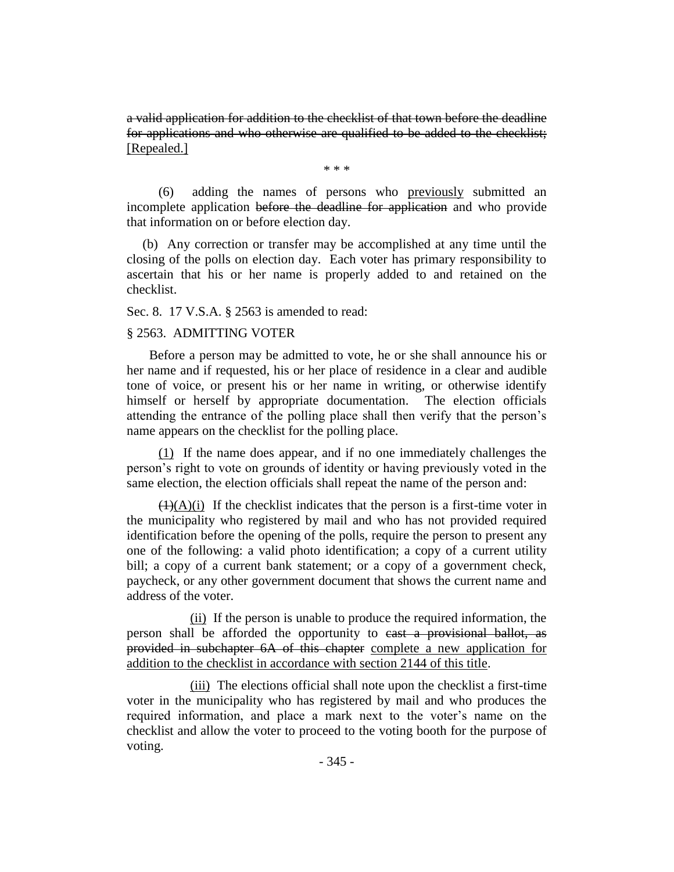a valid application for addition to the checklist of that town before the deadline for applications and who otherwise are qualified to be added to the checklist; [Repealed.]

\* \* \*

(6) adding the names of persons who previously submitted an incomplete application before the deadline for application and who provide that information on or before election day.

(b) Any correction or transfer may be accomplished at any time until the closing of the polls on election day. Each voter has primary responsibility to ascertain that his or her name is properly added to and retained on the checklist.

Sec. 8. 17 V.S.A. § 2563 is amended to read:

#### § 2563. ADMITTING VOTER

 Before a person may be admitted to vote, he or she shall announce his or her name and if requested, his or her place of residence in a clear and audible tone of voice, or present his or her name in writing, or otherwise identify himself or herself by appropriate documentation. The election officials attending the entrance of the polling place shall then verify that the person's name appears on the checklist for the polling place.

(1) If the name does appear, and if no one immediately challenges the person's right to vote on grounds of identity or having previously voted in the same election, the election officials shall repeat the name of the person and:

 $(1)(A)(i)$  If the checklist indicates that the person is a first-time voter in the municipality who registered by mail and who has not provided required identification before the opening of the polls, require the person to present any one of the following: a valid photo identification; a copy of a current utility bill; a copy of a current bank statement; or a copy of a government check, paycheck, or any other government document that shows the current name and address of the voter.

(ii) If the person is unable to produce the required information, the person shall be afforded the opportunity to cast a provisional ballot, as provided in subchapter 6A of this chapter complete a new application for addition to the checklist in accordance with section 2144 of this title.

(iii) The elections official shall note upon the checklist a first-time voter in the municipality who has registered by mail and who produces the required information, and place a mark next to the voter's name on the checklist and allow the voter to proceed to the voting booth for the purpose of voting.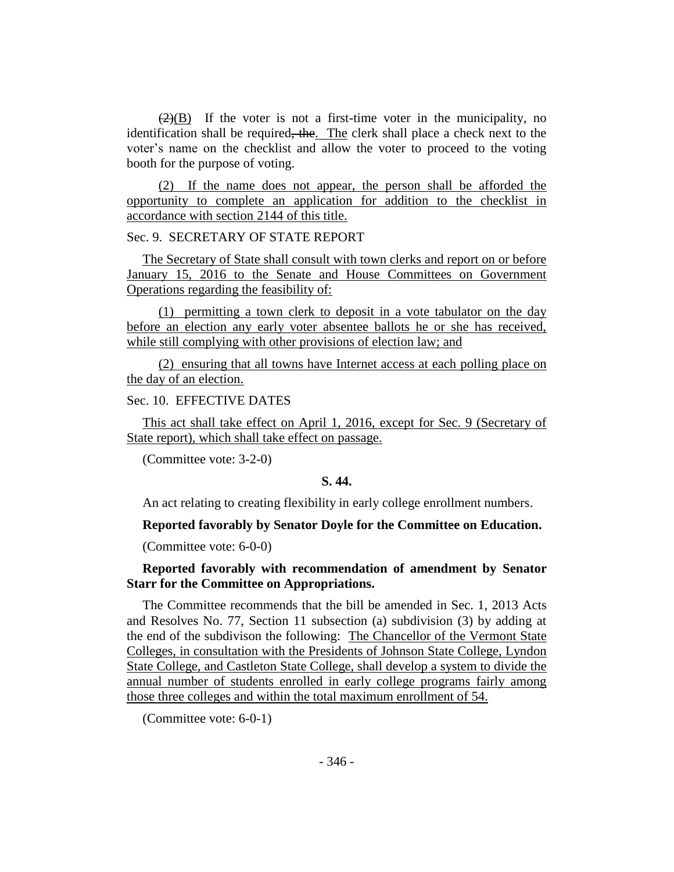$(2)(B)$  If the voter is not a first-time voter in the municipality, no identification shall be required, the. The clerk shall place a check next to the voter's name on the checklist and allow the voter to proceed to the voting booth for the purpose of voting.

(2) If the name does not appear, the person shall be afforded the opportunity to complete an application for addition to the checklist in accordance with section 2144 of this title.

Sec. 9. SECRETARY OF STATE REPORT

The Secretary of State shall consult with town clerks and report on or before January 15, 2016 to the Senate and House Committees on Government Operations regarding the feasibility of:

(1) permitting a town clerk to deposit in a vote tabulator on the day before an election any early voter absentee ballots he or she has received, while still complying with other provisions of election law; and

(2) ensuring that all towns have Internet access at each polling place on the day of an election.

Sec. 10. EFFECTIVE DATES

This act shall take effect on April 1, 2016, except for Sec. 9 (Secretary of State report), which shall take effect on passage.

(Committee vote: 3-2-0)

#### **S. 44.**

An act relating to creating flexibility in early college enrollment numbers.

**Reported favorably by Senator Doyle for the Committee on Education.**

(Committee vote: 6-0-0)

**Reported favorably with recommendation of amendment by Senator Starr for the Committee on Appropriations.**

The Committee recommends that the bill be amended in Sec. 1, 2013 Acts and Resolves No. 77, Section 11 subsection (a) subdivision (3) by adding at the end of the subdivison the following: The Chancellor of the Vermont State Colleges, in consultation with the Presidents of Johnson State College, Lyndon State College, and Castleton State College, shall develop a system to divide the annual number of students enrolled in early college programs fairly among those three colleges and within the total maximum enrollment of 54.

(Committee vote: 6-0-1)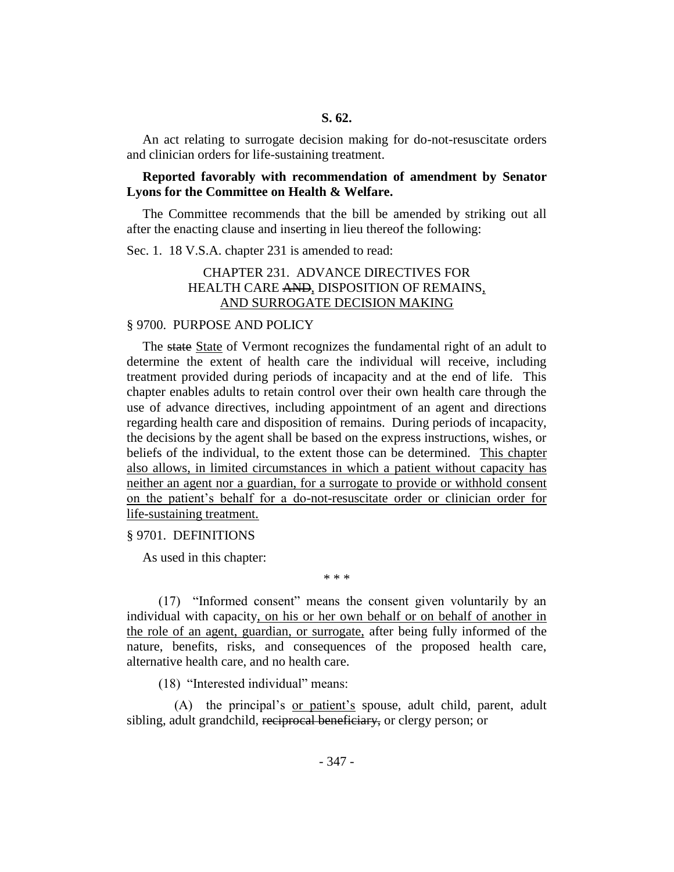#### **S. 62.**

An act relating to surrogate decision making for do-not-resuscitate orders and clinician orders for life-sustaining treatment.

#### **Reported favorably with recommendation of amendment by Senator Lyons for the Committee on Health & Welfare.**

The Committee recommends that the bill be amended by striking out all after the enacting clause and inserting in lieu thereof the following:

Sec. 1. 18 V.S.A. chapter 231 is amended to read:

# CHAPTER 231. ADVANCE DIRECTIVES FOR HEALTH CARE AND, DISPOSITION OF REMAINS, AND SURROGATE DECISION MAKING

#### § 9700. PURPOSE AND POLICY

The state State of Vermont recognizes the fundamental right of an adult to determine the extent of health care the individual will receive, including treatment provided during periods of incapacity and at the end of life. This chapter enables adults to retain control over their own health care through the use of advance directives, including appointment of an agent and directions regarding health care and disposition of remains. During periods of incapacity, the decisions by the agent shall be based on the express instructions, wishes, or beliefs of the individual, to the extent those can be determined. This chapter also allows, in limited circumstances in which a patient without capacity has neither an agent nor a guardian, for a surrogate to provide or withhold consent on the patient's behalf for a do-not-resuscitate order or clinician order for life-sustaining treatment.

§ 9701. DEFINITIONS

As used in this chapter:

(17) "Informed consent" means the consent given voluntarily by an individual with capacity, on his or her own behalf or on behalf of another in the role of an agent, guardian, or surrogate, after being fully informed of the nature, benefits, risks, and consequences of the proposed health care, alternative health care, and no health care.

\* \* \*

(18) "Interested individual" means:

(A) the principal's or patient's spouse, adult child, parent, adult sibling, adult grandchild, reciprocal beneficiary, or clergy person; or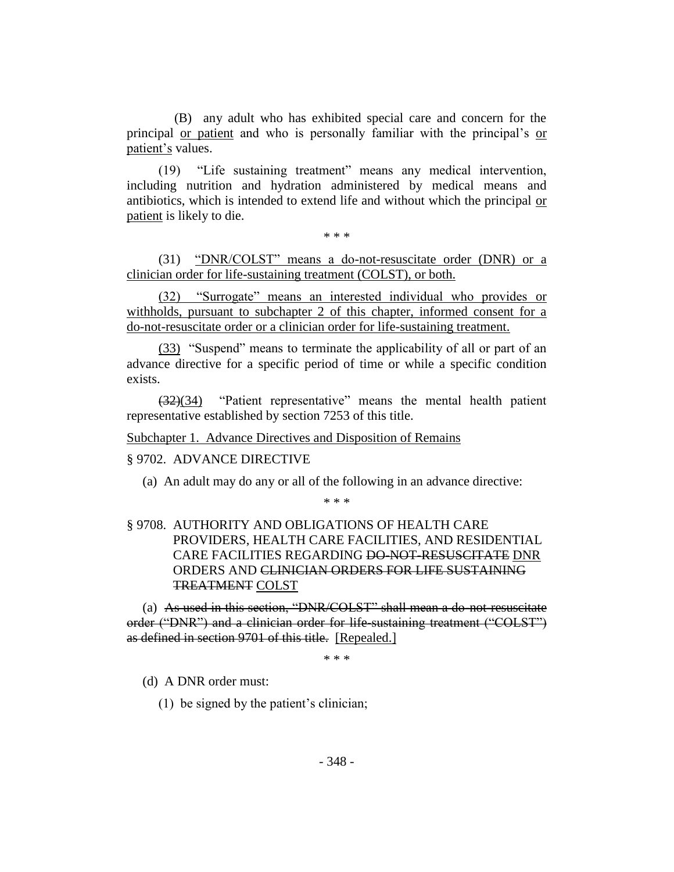(B) any adult who has exhibited special care and concern for the principal or patient and who is personally familiar with the principal's or patient's values.

(19) "Life sustaining treatment" means any medical intervention, including nutrition and hydration administered by medical means and antibiotics, which is intended to extend life and without which the principal or patient is likely to die.

\* \* \*

(31) "DNR/COLST" means a do-not-resuscitate order (DNR) or a clinician order for life-sustaining treatment (COLST), or both.

(32) "Surrogate" means an interested individual who provides or withholds, pursuant to subchapter 2 of this chapter, informed consent for a do-not-resuscitate order or a clinician order for life-sustaining treatment.

(33) "Suspend" means to terminate the applicability of all or part of an advance directive for a specific period of time or while a specific condition exists.

(32)(34) "Patient representative" means the mental health patient representative established by section 7253 of this title.

Subchapter 1. Advance Directives and Disposition of Remains

# § 9702. ADVANCE DIRECTIVE

(a) An adult may do any or all of the following in an advance directive:

\* \* \*

# § 9708. AUTHORITY AND OBLIGATIONS OF HEALTH CARE PROVIDERS, HEALTH CARE FACILITIES, AND RESIDENTIAL CARE FACILITIES REGARDING DO-NOT-RESUSCITATE DNR ORDERS AND CLINICIAN ORDERS FOR LIFE SUSTAINING TREATMENT COLST

(a) As used in this section, "DNR/COLST" shall mean a do-not-resuscitate order ("DNR") and a clinician order for life-sustaining treatment ("COLST") as defined in section 9701 of this title. [Repealed.]

\* \* \*

(d) A DNR order must:

(1) be signed by the patient's clinician;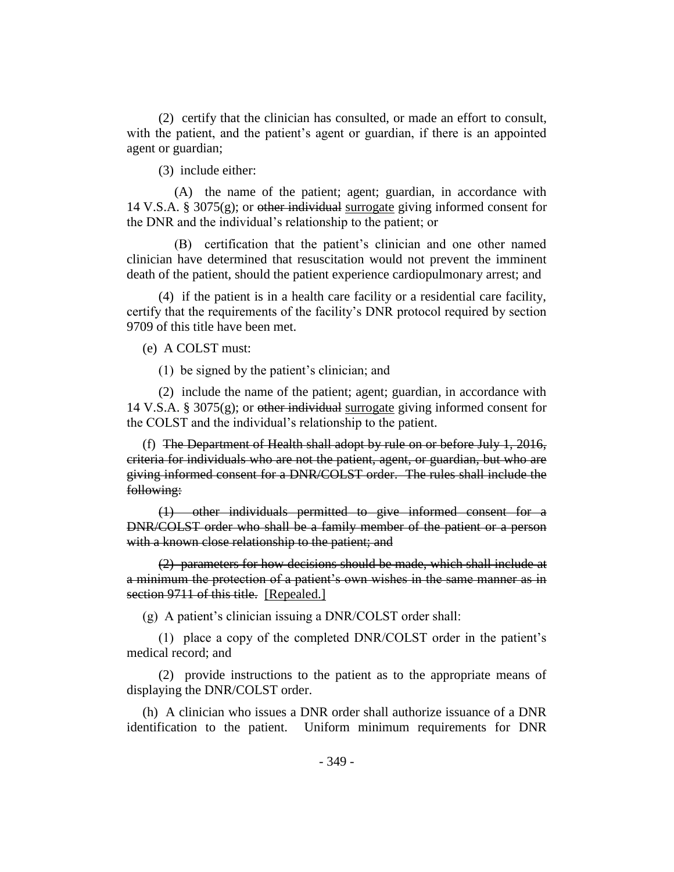(2) certify that the clinician has consulted, or made an effort to consult, with the patient, and the patient's agent or guardian, if there is an appointed agent or guardian;

(3) include either:

(A) the name of the patient; agent; guardian, in accordance with 14 V.S.A. § 3075(g); or other individual surrogate giving informed consent for the DNR and the individual's relationship to the patient; or

(B) certification that the patient's clinician and one other named clinician have determined that resuscitation would not prevent the imminent death of the patient, should the patient experience cardiopulmonary arrest; and

(4) if the patient is in a health care facility or a residential care facility, certify that the requirements of the facility's DNR protocol required by section 9709 of this title have been met.

(e) A COLST must:

(1) be signed by the patient's clinician; and

(2) include the name of the patient; agent; guardian, in accordance with 14 V.S.A. § 3075 $(g)$ ; or other individual surrogate giving informed consent for the COLST and the individual's relationship to the patient.

(f) The Department of Health shall adopt by rule on or before July 1, 2016, criteria for individuals who are not the patient, agent, or guardian, but who are giving informed consent for a DNR/COLST order. The rules shall include the following:

(1) other individuals permitted to give informed consent for a DNR/COLST order who shall be a family member of the patient or a person with a known close relationship to the patient; and

(2) parameters for how decisions should be made, which shall include at a minimum the protection of a patient's own wishes in the same manner as in section 9711 of this title. [Repealed.]

(g) A patient's clinician issuing a DNR/COLST order shall:

(1) place a copy of the completed DNR/COLST order in the patient's medical record; and

(2) provide instructions to the patient as to the appropriate means of displaying the DNR/COLST order.

(h) A clinician who issues a DNR order shall authorize issuance of a DNR identification to the patient. Uniform minimum requirements for DNR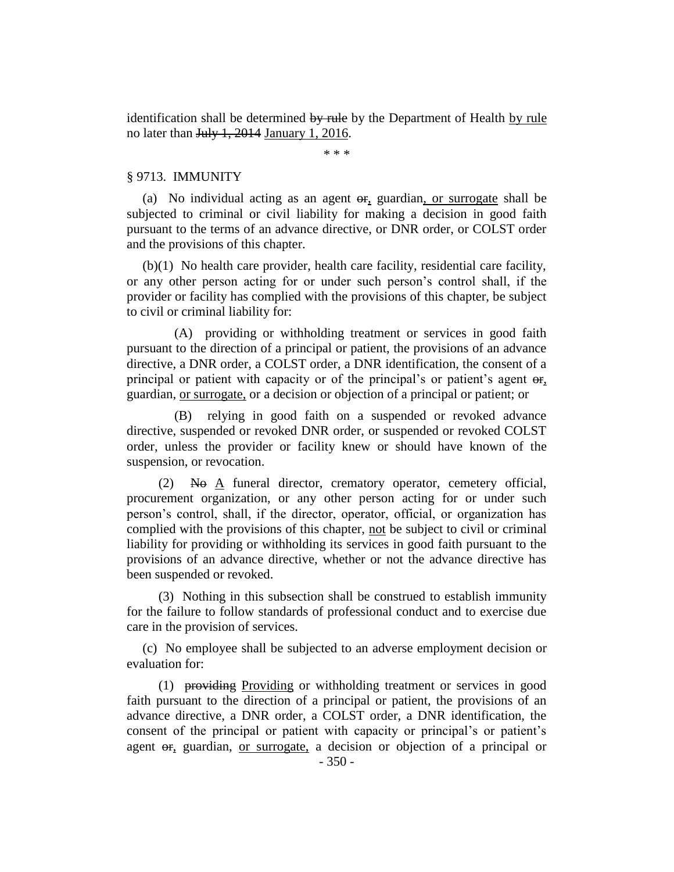identification shall be determined by rule by the Department of Health by rule no later than July 1, 2014 January 1, 2016.

\* \* \*

#### § 9713. IMMUNITY

(a) No individual acting as an agent  $\theta$ , guardian, or surrogate shall be subjected to criminal or civil liability for making a decision in good faith pursuant to the terms of an advance directive, or DNR order, or COLST order and the provisions of this chapter.

(b)(1) No health care provider, health care facility, residential care facility, or any other person acting for or under such person's control shall, if the provider or facility has complied with the provisions of this chapter, be subject to civil or criminal liability for:

(A) providing or withholding treatment or services in good faith pursuant to the direction of a principal or patient, the provisions of an advance directive, a DNR order, a COLST order, a DNR identification, the consent of a principal or patient with capacity or of the principal's or patient's agent  $\Theta$ <sub>r</sub>, guardian, or surrogate, or a decision or objection of a principal or patient; or

(B) relying in good faith on a suspended or revoked advance directive, suspended or revoked DNR order, or suspended or revoked COLST order, unless the provider or facility knew or should have known of the suspension, or revocation.

 $(2)$  No A funeral director, crematory operator, cemetery official, procurement organization, or any other person acting for or under such person's control, shall, if the director, operator, official, or organization has complied with the provisions of this chapter, not be subject to civil or criminal liability for providing or withholding its services in good faith pursuant to the provisions of an advance directive, whether or not the advance directive has been suspended or revoked.

(3) Nothing in this subsection shall be construed to establish immunity for the failure to follow standards of professional conduct and to exercise due care in the provision of services.

(c) No employee shall be subjected to an adverse employment decision or evaluation for:

(1) providing Providing or withholding treatment or services in good faith pursuant to the direction of a principal or patient, the provisions of an advance directive, a DNR order, a COLST order, a DNR identification, the consent of the principal or patient with capacity or principal's or patient's agent or, guardian, or surrogate, a decision or objection of a principal or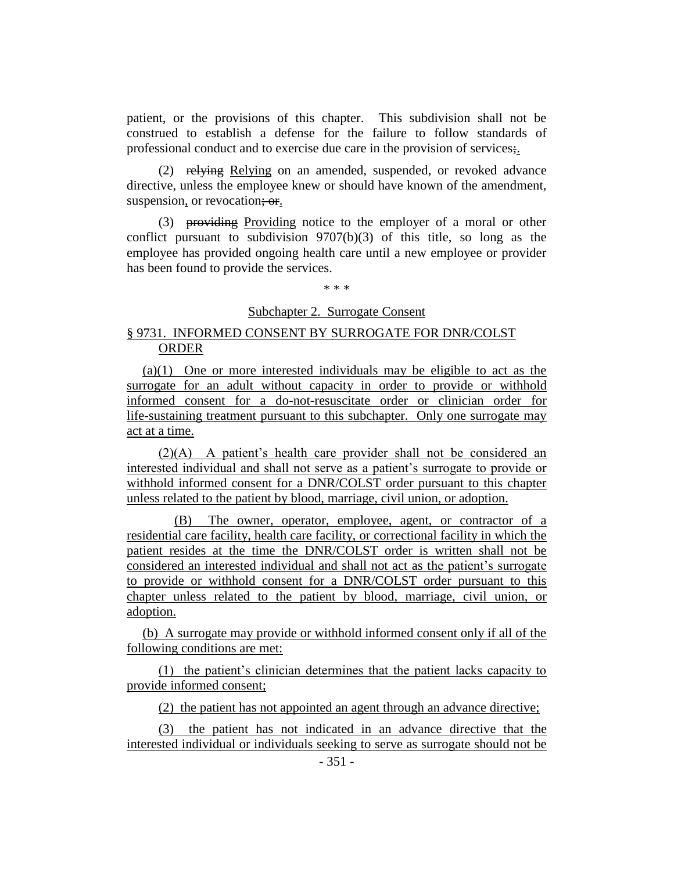patient, or the provisions of this chapter. This subdivision shall not be construed to establish a defense for the failure to follow standards of professional conduct and to exercise due care in the provision of services;.

(2) relying Relying on an amended, suspended, or revoked advance directive, unless the employee knew or should have known of the amendment, suspension, or revocation; or.

(3) providing Providing notice to the employer of a moral or other conflict pursuant to subdivision 9707(b)(3) of this title, so long as the employee has provided ongoing health care until a new employee or provider has been found to provide the services.

\* \* \*

# Subchapter 2. Surrogate Consent

# § 9731. INFORMED CONSENT BY SURROGATE FOR DNR/COLST ORDER

(a)(1) One or more interested individuals may be eligible to act as the surrogate for an adult without capacity in order to provide or withhold informed consent for a do-not-resuscitate order or clinician order for life-sustaining treatment pursuant to this subchapter. Only one surrogate may act at a time.

(2)(A) A patient's health care provider shall not be considered an interested individual and shall not serve as a patient's surrogate to provide or withhold informed consent for a DNR/COLST order pursuant to this chapter unless related to the patient by blood, marriage, civil union, or adoption.

(B) The owner, operator, employee, agent, or contractor of a residential care facility, health care facility, or correctional facility in which the patient resides at the time the DNR/COLST order is written shall not be considered an interested individual and shall not act as the patient's surrogate to provide or withhold consent for a DNR/COLST order pursuant to this chapter unless related to the patient by blood, marriage, civil union, or adoption.

(b) A surrogate may provide or withhold informed consent only if all of the following conditions are met:

(1) the patient's clinician determines that the patient lacks capacity to provide informed consent;

(2) the patient has not appointed an agent through an advance directive;

(3) the patient has not indicated in an advance directive that the interested individual or individuals seeking to serve as surrogate should not be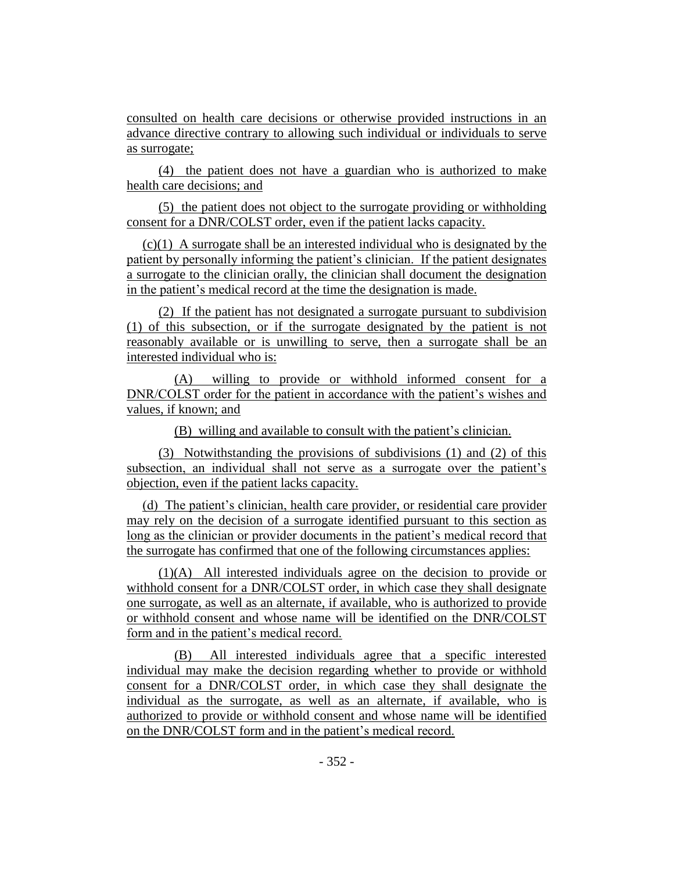consulted on health care decisions or otherwise provided instructions in an advance directive contrary to allowing such individual or individuals to serve as surrogate;

(4) the patient does not have a guardian who is authorized to make health care decisions; and

(5) the patient does not object to the surrogate providing or withholding consent for a DNR/COLST order, even if the patient lacks capacity.

(c)(1) A surrogate shall be an interested individual who is designated by the patient by personally informing the patient's clinician. If the patient designates a surrogate to the clinician orally, the clinician shall document the designation in the patient's medical record at the time the designation is made.

(2) If the patient has not designated a surrogate pursuant to subdivision (1) of this subsection, or if the surrogate designated by the patient is not reasonably available or is unwilling to serve, then a surrogate shall be an interested individual who is:

(A) willing to provide or withhold informed consent for a DNR/COLST order for the patient in accordance with the patient's wishes and values, if known; and

(B) willing and available to consult with the patient's clinician.

(3) Notwithstanding the provisions of subdivisions (1) and (2) of this subsection, an individual shall not serve as a surrogate over the patient's objection, even if the patient lacks capacity.

(d) The patient's clinician, health care provider, or residential care provider may rely on the decision of a surrogate identified pursuant to this section as long as the clinician or provider documents in the patient's medical record that the surrogate has confirmed that one of the following circumstances applies:

(1)(A) All interested individuals agree on the decision to provide or withhold consent for a DNR/COLST order, in which case they shall designate one surrogate, as well as an alternate, if available, who is authorized to provide or withhold consent and whose name will be identified on the DNR/COLST form and in the patient's medical record.

(B) All interested individuals agree that a specific interested individual may make the decision regarding whether to provide or withhold consent for a DNR/COLST order, in which case they shall designate the individual as the surrogate, as well as an alternate, if available, who is authorized to provide or withhold consent and whose name will be identified on the DNR/COLST form and in the patient's medical record.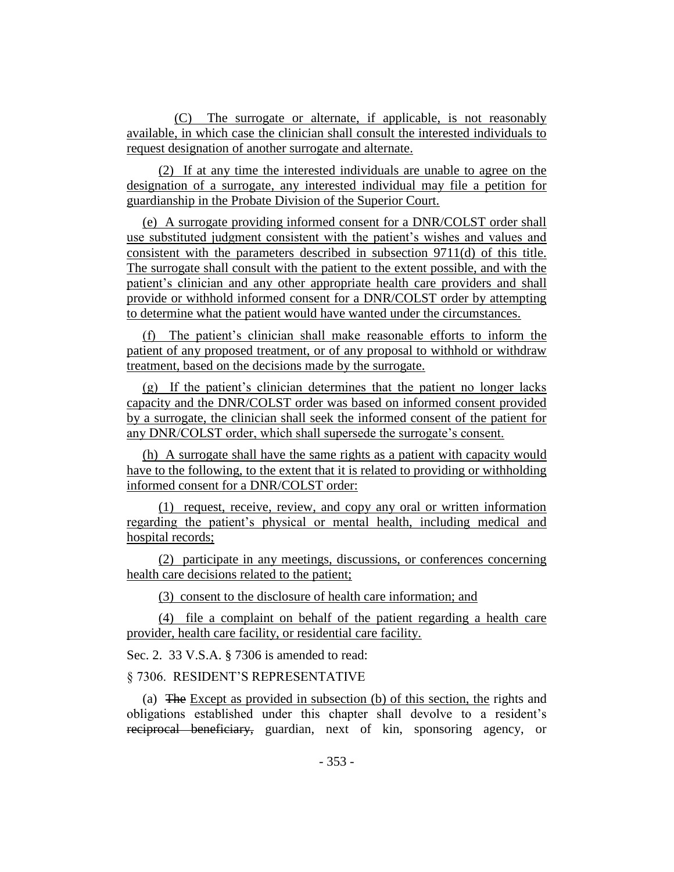(C) The surrogate or alternate, if applicable, is not reasonably available, in which case the clinician shall consult the interested individuals to request designation of another surrogate and alternate.

(2) If at any time the interested individuals are unable to agree on the designation of a surrogate, any interested individual may file a petition for guardianship in the Probate Division of the Superior Court.

(e) A surrogate providing informed consent for a DNR/COLST order shall use substituted judgment consistent with the patient's wishes and values and consistent with the parameters described in subsection 9711(d) of this title. The surrogate shall consult with the patient to the extent possible, and with the patient's clinician and any other appropriate health care providers and shall provide or withhold informed consent for a DNR/COLST order by attempting to determine what the patient would have wanted under the circumstances.

(f) The patient's clinician shall make reasonable efforts to inform the patient of any proposed treatment, or of any proposal to withhold or withdraw treatment, based on the decisions made by the surrogate.

(g) If the patient's clinician determines that the patient no longer lacks capacity and the DNR/COLST order was based on informed consent provided by a surrogate, the clinician shall seek the informed consent of the patient for any DNR/COLST order, which shall supersede the surrogate's consent.

(h) A surrogate shall have the same rights as a patient with capacity would have to the following, to the extent that it is related to providing or withholding informed consent for a DNR/COLST order:

(1) request, receive, review, and copy any oral or written information regarding the patient's physical or mental health, including medical and hospital records;

(2) participate in any meetings, discussions, or conferences concerning health care decisions related to the patient;

(3) consent to the disclosure of health care information; and

(4) file a complaint on behalf of the patient regarding a health care provider, health care facility, or residential care facility.

Sec. 2. 33 V.S.A. § 7306 is amended to read:

§ 7306. RESIDENT'S REPRESENTATIVE

(a) The Except as provided in subsection (b) of this section, the rights and obligations established under this chapter shall devolve to a resident's reciprocal beneficiary, guardian, next of kin, sponsoring agency, or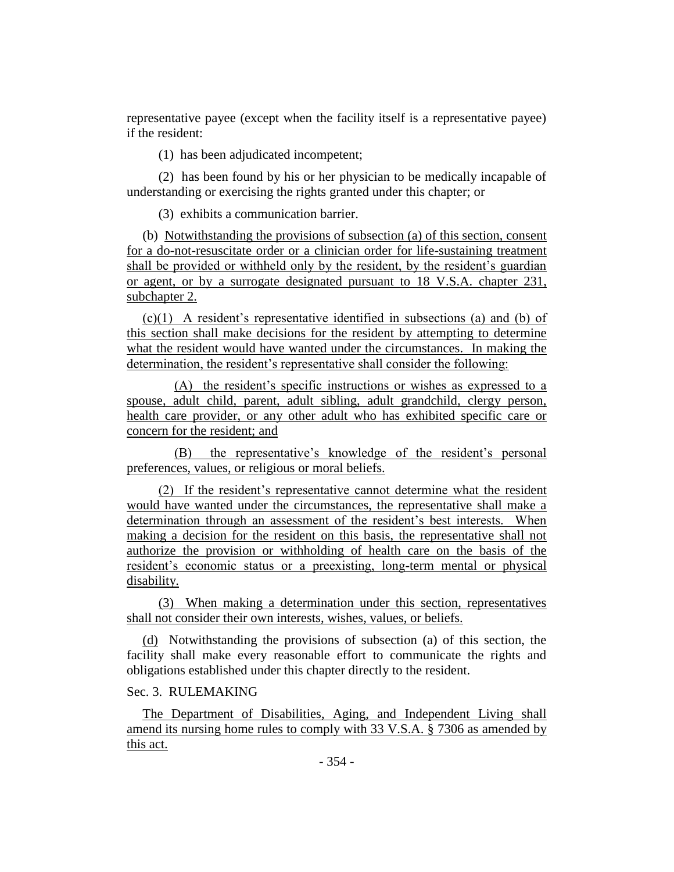representative payee (except when the facility itself is a representative payee) if the resident:

(1) has been adjudicated incompetent;

(2) has been found by his or her physician to be medically incapable of understanding or exercising the rights granted under this chapter; or

(3) exhibits a communication barrier.

(b) Notwithstanding the provisions of subsection (a) of this section, consent for a do-not-resuscitate order or a clinician order for life-sustaining treatment shall be provided or withheld only by the resident, by the resident's guardian or agent, or by a surrogate designated pursuant to 18 V.S.A. chapter 231, subchapter 2.

(c)(1) A resident's representative identified in subsections (a) and (b) of this section shall make decisions for the resident by attempting to determine what the resident would have wanted under the circumstances. In making the determination, the resident's representative shall consider the following:

(A) the resident's specific instructions or wishes as expressed to a spouse, adult child, parent, adult sibling, adult grandchild, clergy person, health care provider, or any other adult who has exhibited specific care or concern for the resident; and

(B) the representative's knowledge of the resident's personal preferences, values, or religious or moral beliefs.

(2) If the resident's representative cannot determine what the resident would have wanted under the circumstances, the representative shall make a determination through an assessment of the resident's best interests. When making a decision for the resident on this basis, the representative shall not authorize the provision or withholding of health care on the basis of the resident's economic status or a preexisting, long-term mental or physical disability.

(3) When making a determination under this section, representatives shall not consider their own interests, wishes, values, or beliefs.

(d) Notwithstanding the provisions of subsection (a) of this section, the facility shall make every reasonable effort to communicate the rights and obligations established under this chapter directly to the resident.

# Sec. 3. RULEMAKING

The Department of Disabilities, Aging, and Independent Living shall amend its nursing home rules to comply with 33 V.S.A. § 7306 as amended by this act.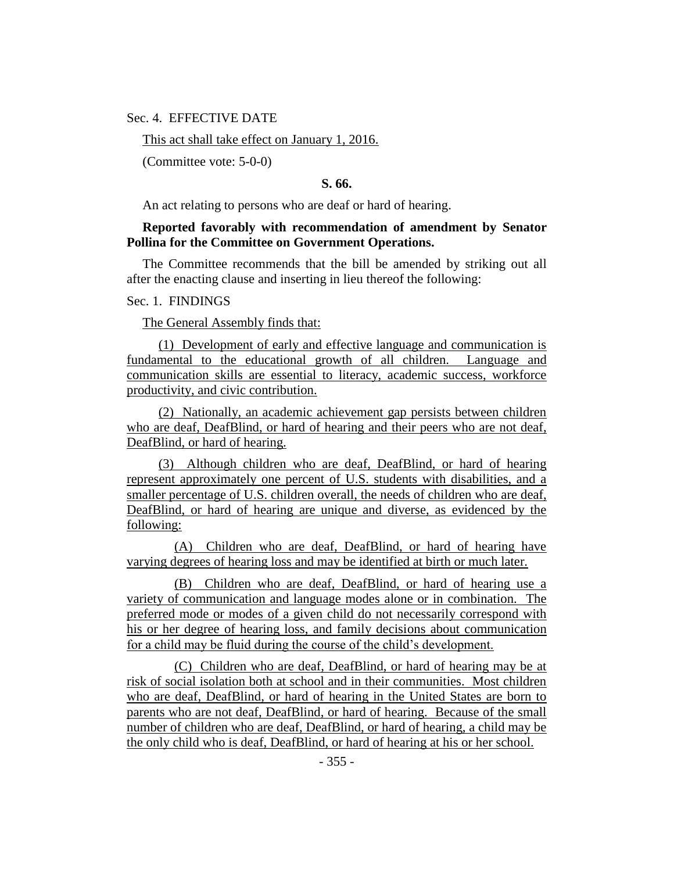Sec. 4. EFFECTIVE DATE

This act shall take effect on January 1, 2016.

(Committee vote: 5-0-0)

# **S. 66.**

An act relating to persons who are deaf or hard of hearing.

# **Reported favorably with recommendation of amendment by Senator Pollina for the Committee on Government Operations.**

The Committee recommends that the bill be amended by striking out all after the enacting clause and inserting in lieu thereof the following:

#### Sec. 1. FINDINGS

The General Assembly finds that:

(1) Development of early and effective language and communication is fundamental to the educational growth of all children. Language and communication skills are essential to literacy, academic success, workforce productivity, and civic contribution.

(2) Nationally, an academic achievement gap persists between children who are deaf, DeafBlind, or hard of hearing and their peers who are not deaf, DeafBlind, or hard of hearing.

(3) Although children who are deaf, DeafBlind, or hard of hearing represent approximately one percent of U.S. students with disabilities, and a smaller percentage of U.S. children overall, the needs of children who are deaf. DeafBlind, or hard of hearing are unique and diverse, as evidenced by the following:

(A) Children who are deaf, DeafBlind, or hard of hearing have varying degrees of hearing loss and may be identified at birth or much later.

(B) Children who are deaf, DeafBlind, or hard of hearing use a variety of communication and language modes alone or in combination. The preferred mode or modes of a given child do not necessarily correspond with his or her degree of hearing loss, and family decisions about communication for a child may be fluid during the course of the child's development.

(C) Children who are deaf, DeafBlind, or hard of hearing may be at risk of social isolation both at school and in their communities. Most children who are deaf, DeafBlind, or hard of hearing in the United States are born to parents who are not deaf, DeafBlind, or hard of hearing. Because of the small number of children who are deaf, DeafBlind, or hard of hearing, a child may be the only child who is deaf, DeafBlind, or hard of hearing at his or her school.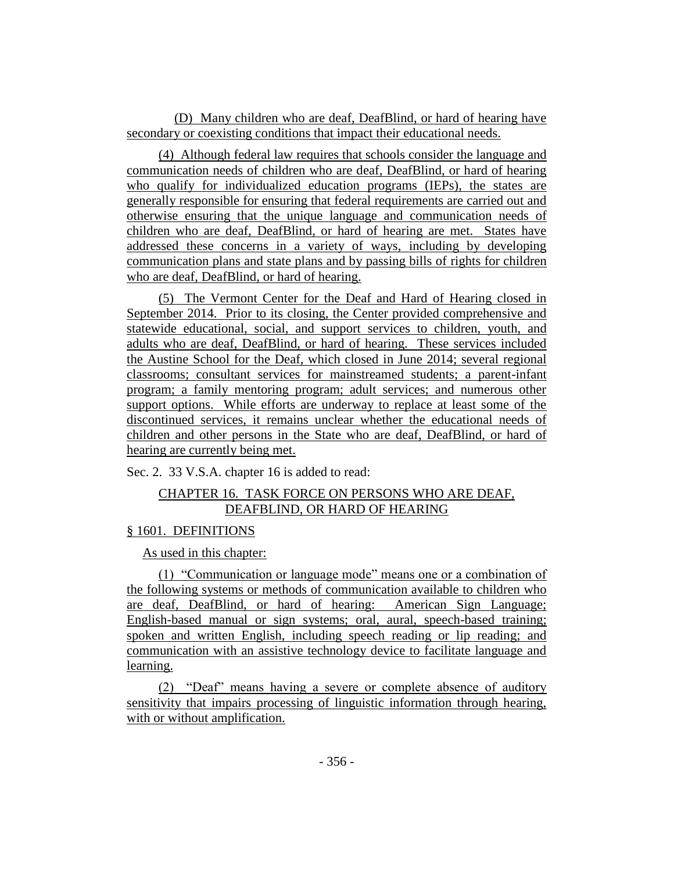(D) Many children who are deaf, DeafBlind, or hard of hearing have secondary or coexisting conditions that impact their educational needs.

(4) Although federal law requires that schools consider the language and communication needs of children who are deaf, DeafBlind, or hard of hearing who qualify for individualized education programs (IEPs), the states are generally responsible for ensuring that federal requirements are carried out and otherwise ensuring that the unique language and communication needs of children who are deaf, DeafBlind, or hard of hearing are met. States have addressed these concerns in a variety of ways, including by developing communication plans and state plans and by passing bills of rights for children who are deaf, DeafBlind, or hard of hearing.

(5) The Vermont Center for the Deaf and Hard of Hearing closed in September 2014. Prior to its closing, the Center provided comprehensive and statewide educational, social, and support services to children, youth, and adults who are deaf, DeafBlind, or hard of hearing. These services included the Austine School for the Deaf, which closed in June 2014; several regional classrooms; consultant services for mainstreamed students; a parent-infant program; a family mentoring program; adult services; and numerous other support options. While efforts are underway to replace at least some of the discontinued services, it remains unclear whether the educational needs of children and other persons in the State who are deaf, DeafBlind, or hard of hearing are currently being met.

Sec. 2. 33 V.S.A. chapter 16 is added to read:

# CHAPTER 16. TASK FORCE ON PERSONS WHO ARE DEAF, DEAFBLIND, OR HARD OF HEARING

# § 1601. DEFINITIONS

As used in this chapter:

(1) "Communication or language mode" means one or a combination of the following systems or methods of communication available to children who are deaf, DeafBlind, or hard of hearing: American Sign Language; English-based manual or sign systems; oral, aural, speech-based training; spoken and written English, including speech reading or lip reading; and communication with an assistive technology device to facilitate language and learning.

(2) "Deaf" means having a severe or complete absence of auditory sensitivity that impairs processing of linguistic information through hearing, with or without amplification.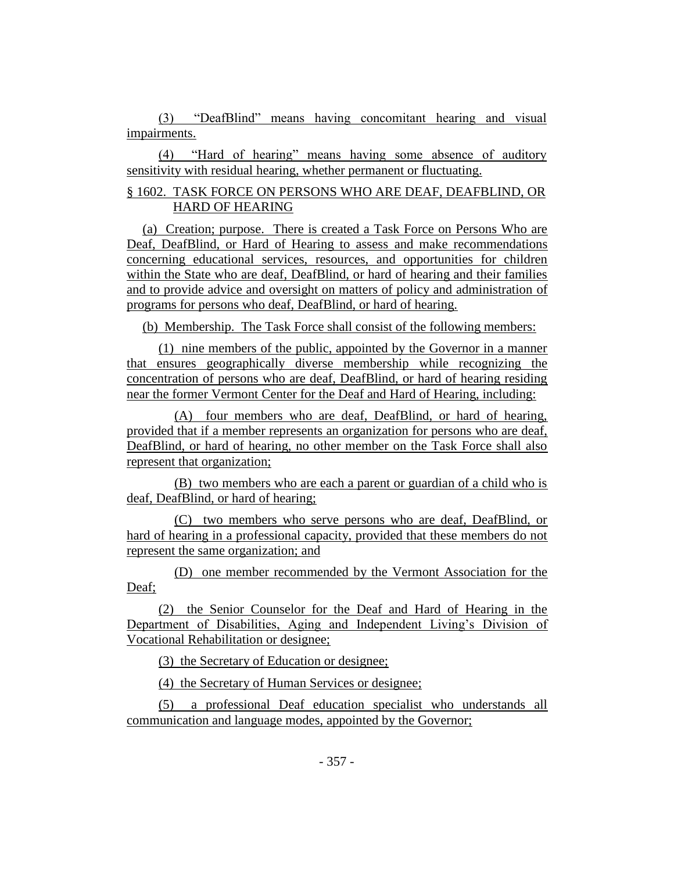(3) "DeafBlind" means having concomitant hearing and visual impairments.

(4) "Hard of hearing" means having some absence of auditory sensitivity with residual hearing, whether permanent or fluctuating.

# § 1602. TASK FORCE ON PERSONS WHO ARE DEAF, DEAFBLIND, OR HARD OF HEARING

(a) Creation; purpose. There is created a Task Force on Persons Who are Deaf, DeafBlind, or Hard of Hearing to assess and make recommendations concerning educational services, resources, and opportunities for children within the State who are deaf, DeafBlind, or hard of hearing and their families and to provide advice and oversight on matters of policy and administration of programs for persons who deaf, DeafBlind, or hard of hearing.

(b) Membership. The Task Force shall consist of the following members:

(1) nine members of the public, appointed by the Governor in a manner that ensures geographically diverse membership while recognizing the concentration of persons who are deaf, DeafBlind, or hard of hearing residing near the former Vermont Center for the Deaf and Hard of Hearing, including:

(A) four members who are deaf, DeafBlind, or hard of hearing, provided that if a member represents an organization for persons who are deaf, DeafBlind, or hard of hearing, no other member on the Task Force shall also represent that organization;

(B) two members who are each a parent or guardian of a child who is deaf, DeafBlind, or hard of hearing;

(C) two members who serve persons who are deaf, DeafBlind, or hard of hearing in a professional capacity, provided that these members do not represent the same organization; and

(D) one member recommended by the Vermont Association for the Deaf;

(2) the Senior Counselor for the Deaf and Hard of Hearing in the Department of Disabilities, Aging and Independent Living's Division of Vocational Rehabilitation or designee;

(3) the Secretary of Education or designee;

(4) the Secretary of Human Services or designee;

(5) a professional Deaf education specialist who understands all communication and language modes, appointed by the Governor;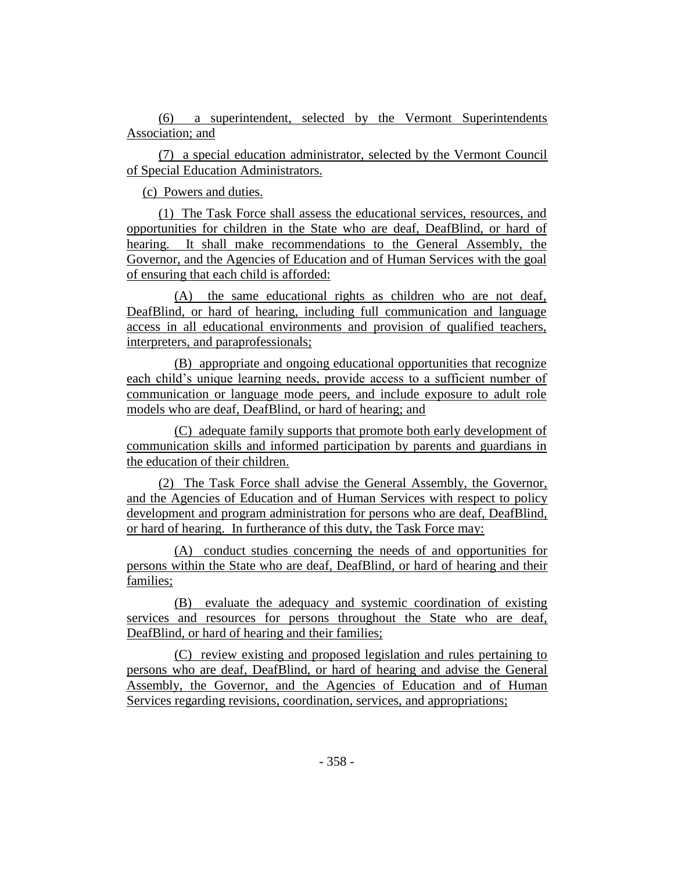(6) a superintendent, selected by the Vermont Superintendents Association; and

(7) a special education administrator, selected by the Vermont Council of Special Education Administrators.

(c) Powers and duties.

(1) The Task Force shall assess the educational services, resources, and opportunities for children in the State who are deaf, DeafBlind, or hard of hearing. It shall make recommendations to the General Assembly, the Governor, and the Agencies of Education and of Human Services with the goal of ensuring that each child is afforded:

(A) the same educational rights as children who are not deaf, DeafBlind, or hard of hearing, including full communication and language access in all educational environments and provision of qualified teachers, interpreters, and paraprofessionals;

(B) appropriate and ongoing educational opportunities that recognize each child's unique learning needs, provide access to a sufficient number of communication or language mode peers, and include exposure to adult role models who are deaf, DeafBlind, or hard of hearing; and

(C) adequate family supports that promote both early development of communication skills and informed participation by parents and guardians in the education of their children.

(2) The Task Force shall advise the General Assembly, the Governor, and the Agencies of Education and of Human Services with respect to policy development and program administration for persons who are deaf, DeafBlind, or hard of hearing. In furtherance of this duty, the Task Force may:

(A) conduct studies concerning the needs of and opportunities for persons within the State who are deaf, DeafBlind, or hard of hearing and their families;

(B) evaluate the adequacy and systemic coordination of existing services and resources for persons throughout the State who are deaf, DeafBlind, or hard of hearing and their families;

(C) review existing and proposed legislation and rules pertaining to persons who are deaf, DeafBlind, or hard of hearing and advise the General Assembly, the Governor, and the Agencies of Education and of Human Services regarding revisions, coordination, services, and appropriations;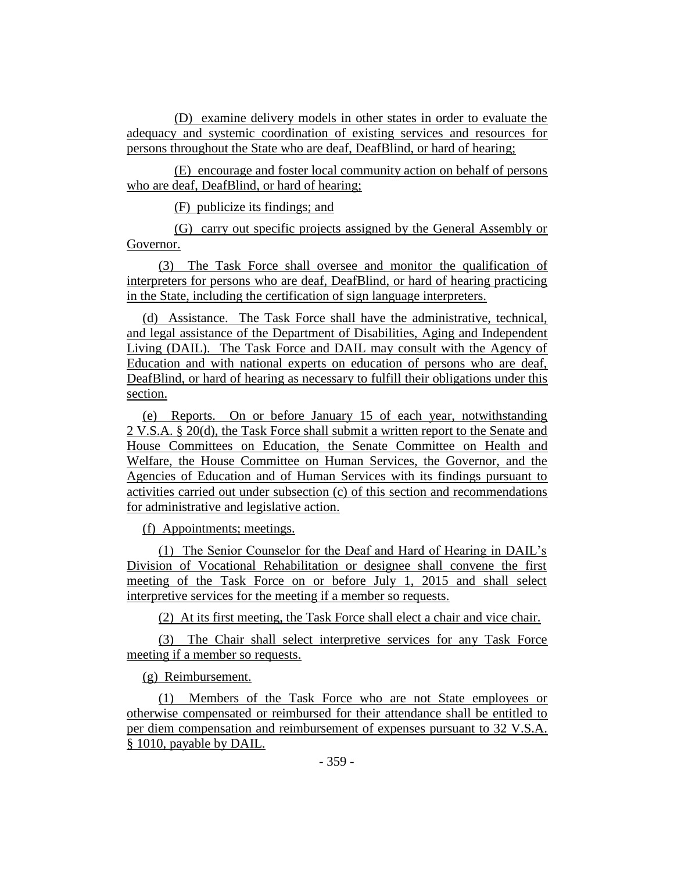(D) examine delivery models in other states in order to evaluate the adequacy and systemic coordination of existing services and resources for persons throughout the State who are deaf, DeafBlind, or hard of hearing;

(E) encourage and foster local community action on behalf of persons who are deaf, DeafBlind, or hard of hearing;

(F) publicize its findings; and

(G) carry out specific projects assigned by the General Assembly or Governor.

(3) The Task Force shall oversee and monitor the qualification of interpreters for persons who are deaf, DeafBlind, or hard of hearing practicing in the State, including the certification of sign language interpreters.

(d) Assistance. The Task Force shall have the administrative, technical, and legal assistance of the Department of Disabilities, Aging and Independent Living (DAIL). The Task Force and DAIL may consult with the Agency of Education and with national experts on education of persons who are deaf, DeafBlind, or hard of hearing as necessary to fulfill their obligations under this section.

(e) Reports. On or before January 15 of each year, notwithstanding 2 V.S.A. § 20(d), the Task Force shall submit a written report to the Senate and House Committees on Education, the Senate Committee on Health and Welfare, the House Committee on Human Services, the Governor, and the Agencies of Education and of Human Services with its findings pursuant to activities carried out under subsection (c) of this section and recommendations for administrative and legislative action.

(f) Appointments; meetings.

(1) The Senior Counselor for the Deaf and Hard of Hearing in DAIL's Division of Vocational Rehabilitation or designee shall convene the first meeting of the Task Force on or before July 1, 2015 and shall select interpretive services for the meeting if a member so requests.

(2) At its first meeting, the Task Force shall elect a chair and vice chair.

(3) The Chair shall select interpretive services for any Task Force meeting if a member so requests.

(g) Reimbursement.

(1) Members of the Task Force who are not State employees or otherwise compensated or reimbursed for their attendance shall be entitled to per diem compensation and reimbursement of expenses pursuant to 32 V.S.A. § 1010, payable by DAIL.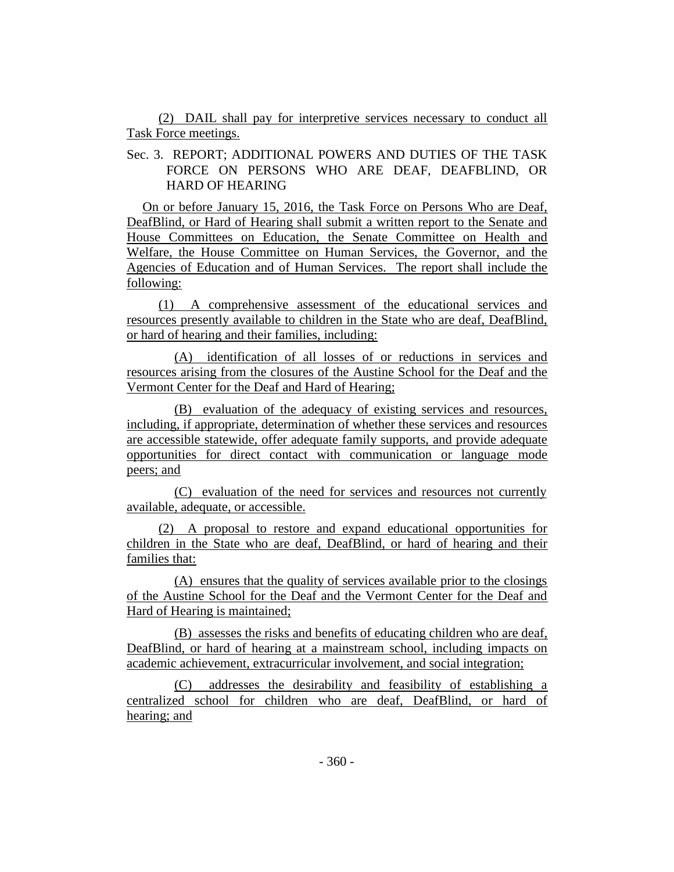(2) DAIL shall pay for interpretive services necessary to conduct all Task Force meetings.

Sec. 3. REPORT; ADDITIONAL POWERS AND DUTIES OF THE TASK FORCE ON PERSONS WHO ARE DEAF, DEAFBLIND, OR HARD OF HEARING

On or before January 15, 2016, the Task Force on Persons Who are Deaf, DeafBlind, or Hard of Hearing shall submit a written report to the Senate and House Committees on Education, the Senate Committee on Health and Welfare, the House Committee on Human Services, the Governor, and the Agencies of Education and of Human Services. The report shall include the following:

(1) A comprehensive assessment of the educational services and resources presently available to children in the State who are deaf, DeafBlind, or hard of hearing and their families, including:

(A) identification of all losses of or reductions in services and resources arising from the closures of the Austine School for the Deaf and the Vermont Center for the Deaf and Hard of Hearing;

(B) evaluation of the adequacy of existing services and resources, including, if appropriate, determination of whether these services and resources are accessible statewide, offer adequate family supports, and provide adequate opportunities for direct contact with communication or language mode peers; and

(C) evaluation of the need for services and resources not currently available, adequate, or accessible.

(2) A proposal to restore and expand educational opportunities for children in the State who are deaf, DeafBlind, or hard of hearing and their families that:

(A) ensures that the quality of services available prior to the closings of the Austine School for the Deaf and the Vermont Center for the Deaf and Hard of Hearing is maintained;

(B) assesses the risks and benefits of educating children who are deaf, DeafBlind, or hard of hearing at a mainstream school, including impacts on academic achievement, extracurricular involvement, and social integration;

(C) addresses the desirability and feasibility of establishing a centralized school for children who are deaf, DeafBlind, or hard of hearing; and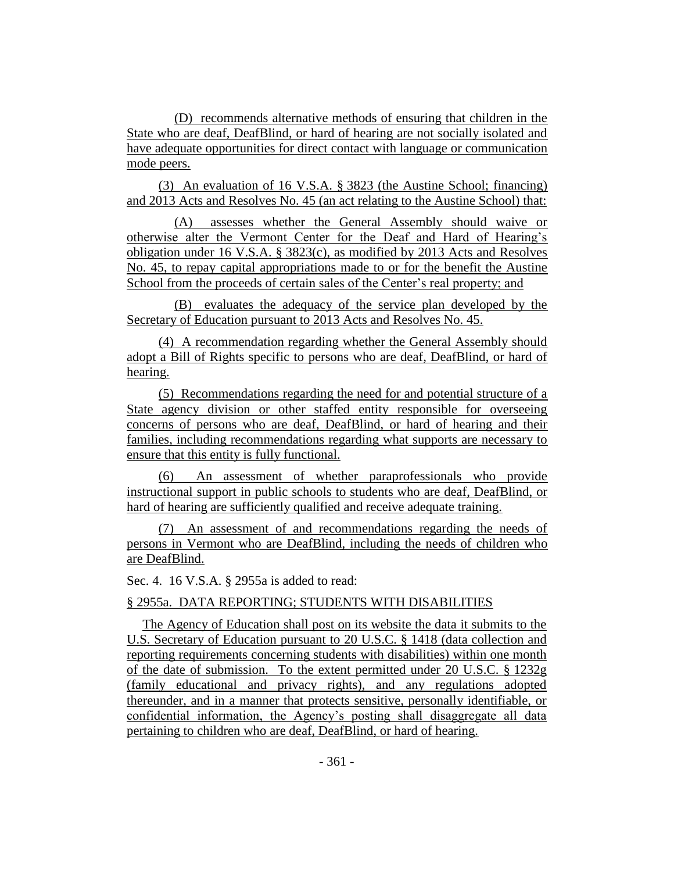(D) recommends alternative methods of ensuring that children in the State who are deaf, DeafBlind, or hard of hearing are not socially isolated and have adequate opportunities for direct contact with language or communication mode peers.

(3) An evaluation of 16 V.S.A. § 3823 (the Austine School; financing) and 2013 Acts and Resolves No. 45 (an act relating to the Austine School) that:

(A) assesses whether the General Assembly should waive or otherwise alter the Vermont Center for the Deaf and Hard of Hearing's obligation under 16 V.S.A. § 3823(c), as modified by 2013 Acts and Resolves No. 45, to repay capital appropriations made to or for the benefit the Austine School from the proceeds of certain sales of the Center's real property; and

(B) evaluates the adequacy of the service plan developed by the Secretary of Education pursuant to 2013 Acts and Resolves No. 45.

(4) A recommendation regarding whether the General Assembly should adopt a Bill of Rights specific to persons who are deaf, DeafBlind, or hard of hearing.

(5) Recommendations regarding the need for and potential structure of a State agency division or other staffed entity responsible for overseeing concerns of persons who are deaf, DeafBlind, or hard of hearing and their families, including recommendations regarding what supports are necessary to ensure that this entity is fully functional.

(6) An assessment of whether paraprofessionals who provide instructional support in public schools to students who are deaf, DeafBlind, or hard of hearing are sufficiently qualified and receive adequate training.

(7) An assessment of and recommendations regarding the needs of persons in Vermont who are DeafBlind, including the needs of children who are DeafBlind.

Sec. 4. 16 V.S.A. § 2955a is added to read:

# § 2955a. DATA REPORTING; STUDENTS WITH DISABILITIES

The Agency of Education shall post on its website the data it submits to the U.S. Secretary of Education pursuant to 20 U.S.C. § 1418 (data collection and reporting requirements concerning students with disabilities) within one month of the date of submission. To the extent permitted under 20 U.S.C. § 1232g (family educational and privacy rights), and any regulations adopted thereunder, and in a manner that protects sensitive, personally identifiable, or confidential information, the Agency's posting shall disaggregate all data pertaining to children who are deaf, DeafBlind, or hard of hearing.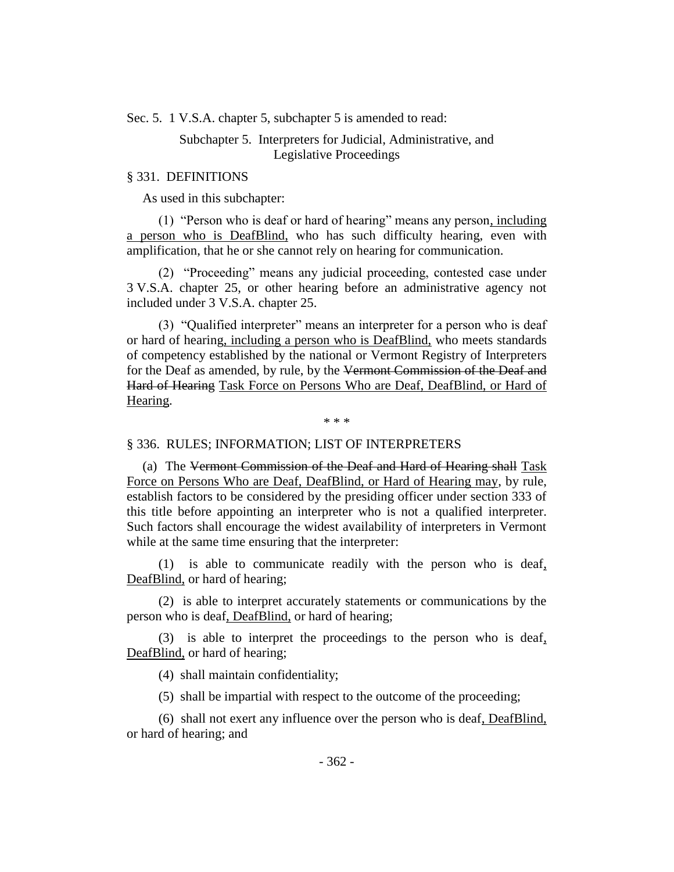Sec. 5. 1 V.S.A. chapter 5, subchapter 5 is amended to read:

# Subchapter 5. Interpreters for Judicial, Administrative, and Legislative Proceedings

#### § 331. DEFINITIONS

As used in this subchapter:

(1) "Person who is deaf or hard of hearing" means any person, including a person who is DeafBlind, who has such difficulty hearing, even with amplification, that he or she cannot rely on hearing for communication.

(2) "Proceeding" means any judicial proceeding, contested case under 3 V.S.A. chapter 25, or other hearing before an administrative agency not included under 3 V.S.A. chapter 25.

(3) "Qualified interpreter" means an interpreter for a person who is deaf or hard of hearing, including a person who is DeafBlind, who meets standards of competency established by the national or Vermont Registry of Interpreters for the Deaf as amended, by rule, by the Vermont Commission of the Deaf and Hard of Hearing Task Force on Persons Who are Deaf, DeafBlind, or Hard of Hearing.

\* \* \*

#### § 336. RULES; INFORMATION; LIST OF INTERPRETERS

(a) The Vermont Commission of the Deaf and Hard of Hearing shall Task Force on Persons Who are Deaf, DeafBlind, or Hard of Hearing may, by rule, establish factors to be considered by the presiding officer under section 333 of this title before appointing an interpreter who is not a qualified interpreter. Such factors shall encourage the widest availability of interpreters in Vermont while at the same time ensuring that the interpreter:

(1) is able to communicate readily with the person who is deaf, DeafBlind, or hard of hearing;

(2) is able to interpret accurately statements or communications by the person who is deaf, DeafBlind, or hard of hearing;

(3) is able to interpret the proceedings to the person who is deaf, DeafBlind, or hard of hearing;

(4) shall maintain confidentiality;

(5) shall be impartial with respect to the outcome of the proceeding;

(6) shall not exert any influence over the person who is deaf, DeafBlind, or hard of hearing; and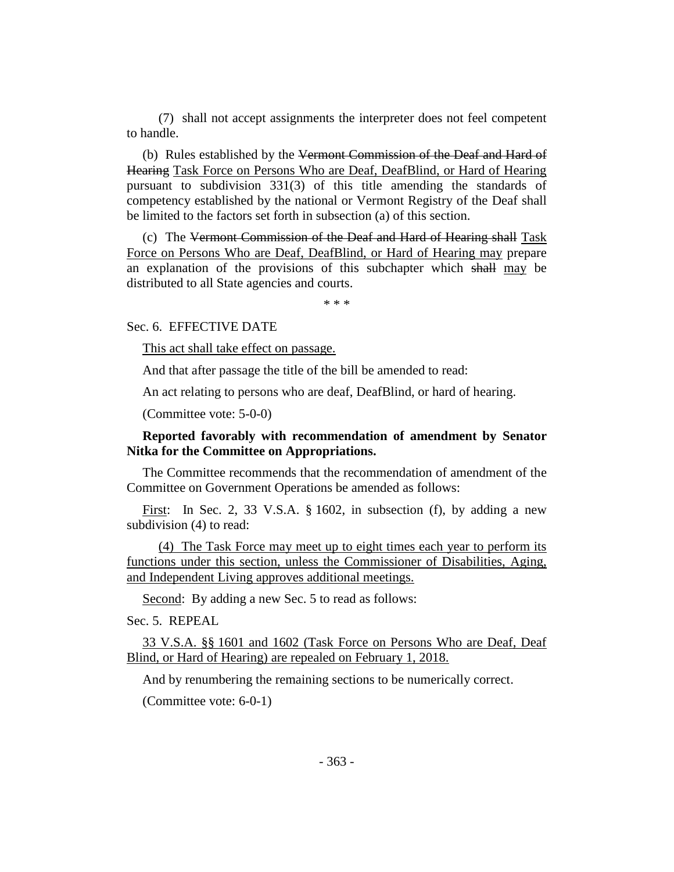(7) shall not accept assignments the interpreter does not feel competent to handle.

(b) Rules established by the Vermont Commission of the Deaf and Hard of Hearing Task Force on Persons Who are Deaf, DeafBlind, or Hard of Hearing pursuant to subdivision 331(3) of this title amending the standards of competency established by the national or Vermont Registry of the Deaf shall be limited to the factors set forth in subsection (a) of this section.

(c) The Vermont Commission of the Deaf and Hard of Hearing shall Task Force on Persons Who are Deaf, DeafBlind, or Hard of Hearing may prepare an explanation of the provisions of this subchapter which shall may be distributed to all State agencies and courts.

\* \* \*

Sec. 6. EFFECTIVE DATE

This act shall take effect on passage.

And that after passage the title of the bill be amended to read:

An act relating to persons who are deaf, DeafBlind, or hard of hearing.

(Committee vote: 5-0-0)

# **Reported favorably with recommendation of amendment by Senator Nitka for the Committee on Appropriations.**

The Committee recommends that the recommendation of amendment of the Committee on Government Operations be amended as follows:

First: In Sec. 2, 33 V.S.A. § 1602, in subsection (f), by adding a new subdivision (4) to read:

(4) The Task Force may meet up to eight times each year to perform its functions under this section, unless the Commissioner of Disabilities, Aging, and Independent Living approves additional meetings.

Second: By adding a new Sec. 5 to read as follows:

Sec. 5. REPEAL

33 V.S.A. §§ 1601 and 1602 (Task Force on Persons Who are Deaf, Deaf Blind, or Hard of Hearing) are repealed on February 1, 2018.

And by renumbering the remaining sections to be numerically correct.

(Committee vote: 6-0-1)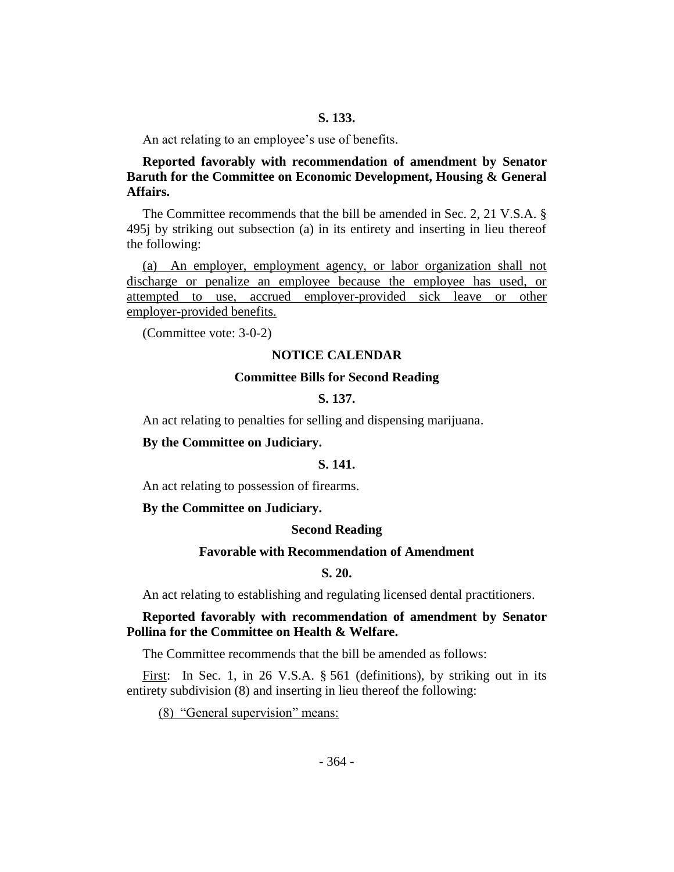An act relating to an employee's use of benefits.

**Reported favorably with recommendation of amendment by Senator Baruth for the Committee on Economic Development, Housing & General Affairs.**

The Committee recommends that the bill be amended in Sec. 2, 21 V.S.A. § 495j by striking out subsection (a) in its entirety and inserting in lieu thereof the following:

(a) An employer, employment agency, or labor organization shall not discharge or penalize an employee because the employee has used, or attempted to use, accrued employer-provided sick leave or other employer-provided benefits.

(Committee vote: 3-0-2)

#### **NOTICE CALENDAR**

#### **Committee Bills for Second Reading**

### **S. 137.**

An act relating to penalties for selling and dispensing marijuana.

# **By the Committee on Judiciary.**

# **S. 141.**

An act relating to possession of firearms.

#### **By the Committee on Judiciary.**

#### **Second Reading**

# **Favorable with Recommendation of Amendment**

#### **S. 20.**

An act relating to establishing and regulating licensed dental practitioners.

# **Reported favorably with recommendation of amendment by Senator Pollina for the Committee on Health & Welfare.**

The Committee recommends that the bill be amended as follows:

First: In Sec. 1, in 26 V.S.A. § 561 (definitions), by striking out in its entirety subdivision (8) and inserting in lieu thereof the following:

(8) "General supervision" means: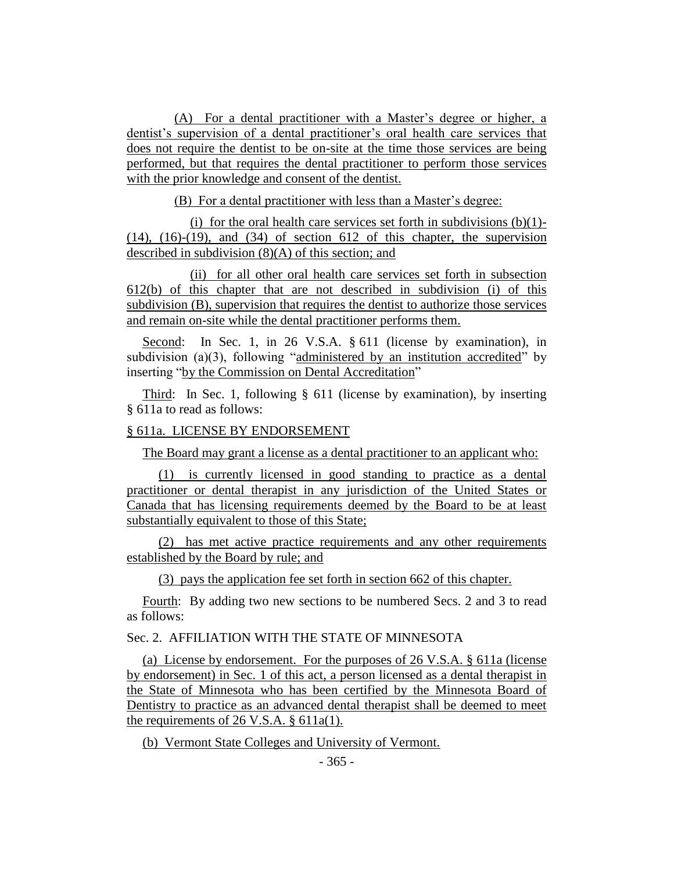(A) For a dental practitioner with a Master's degree or higher, a dentist's supervision of a dental practitioner's oral health care services that does not require the dentist to be on-site at the time those services are being performed, but that requires the dental practitioner to perform those services with the prior knowledge and consent of the dentist.

(B) For a dental practitioner with less than a Master's degree:

(i) for the oral health care services set forth in subdivisions  $(b)(1)$ - $(14)$ ,  $(16)-(19)$ , and  $(34)$  of section 612 of this chapter, the supervision described in subdivision (8)(A) of this section; and

(ii) for all other oral health care services set forth in subsection 612(b) of this chapter that are not described in subdivision (i) of this subdivision (B), supervision that requires the dentist to authorize those services and remain on-site while the dental practitioner performs them.

Second: In Sec. 1, in 26 V.S.A. § 611 (license by examination), in subdivision (a)(3), following "administered by an institution accredited" by inserting "by the Commission on Dental Accreditation"

Third: In Sec. 1, following § 611 (license by examination), by inserting § 611a to read as follows:

#### § 611a. LICENSE BY ENDORSEMENT

The Board may grant a license as a dental practitioner to an applicant who:

(1) is currently licensed in good standing to practice as a dental practitioner or dental therapist in any jurisdiction of the United States or Canada that has licensing requirements deemed by the Board to be at least substantially equivalent to those of this State;

(2) has met active practice requirements and any other requirements established by the Board by rule; and

(3) pays the application fee set forth in section 662 of this chapter.

Fourth: By adding two new sections to be numbered Secs. 2 and 3 to read as follows:

# Sec. 2. AFFILIATION WITH THE STATE OF MINNESOTA

(a) License by endorsement. For the purposes of 26 V.S.A. § 611a (license by endorsement) in Sec. 1 of this act, a person licensed as a dental therapist in the State of Minnesota who has been certified by the Minnesota Board of Dentistry to practice as an advanced dental therapist shall be deemed to meet the requirements of 26 V.S.A. § 611a(1).

(b) Vermont State Colleges and University of Vermont.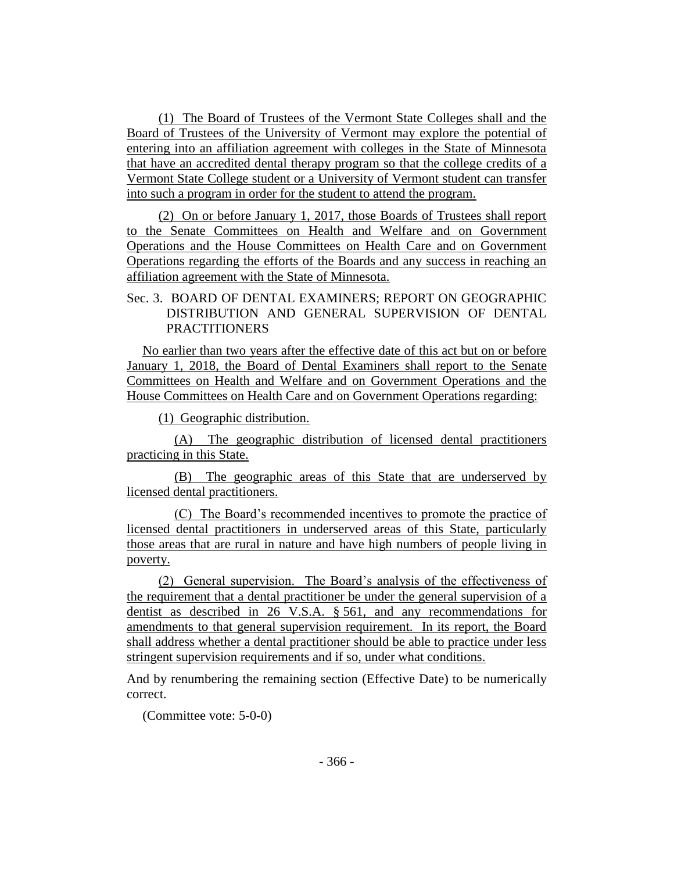(1) The Board of Trustees of the Vermont State Colleges shall and the Board of Trustees of the University of Vermont may explore the potential of entering into an affiliation agreement with colleges in the State of Minnesota that have an accredited dental therapy program so that the college credits of a Vermont State College student or a University of Vermont student can transfer into such a program in order for the student to attend the program.

(2) On or before January 1, 2017, those Boards of Trustees shall report to the Senate Committees on Health and Welfare and on Government Operations and the House Committees on Health Care and on Government Operations regarding the efforts of the Boards and any success in reaching an affiliation agreement with the State of Minnesota.

# Sec. 3. BOARD OF DENTAL EXAMINERS; REPORT ON GEOGRAPHIC DISTRIBUTION AND GENERAL SUPERVISION OF DENTAL **PRACTITIONERS**

No earlier than two years after the effective date of this act but on or before January 1, 2018, the Board of Dental Examiners shall report to the Senate Committees on Health and Welfare and on Government Operations and the House Committees on Health Care and on Government Operations regarding:

(1) Geographic distribution.

(A) The geographic distribution of licensed dental practitioners practicing in this State.

(B) The geographic areas of this State that are underserved by licensed dental practitioners.

(C) The Board's recommended incentives to promote the practice of licensed dental practitioners in underserved areas of this State, particularly those areas that are rural in nature and have high numbers of people living in poverty.

(2) General supervision. The Board's analysis of the effectiveness of the requirement that a dental practitioner be under the general supervision of a dentist as described in 26 V.S.A. § 561, and any recommendations for amendments to that general supervision requirement. In its report, the Board shall address whether a dental practitioner should be able to practice under less stringent supervision requirements and if so, under what conditions.

And by renumbering the remaining section (Effective Date) to be numerically correct.

(Committee vote: 5-0-0)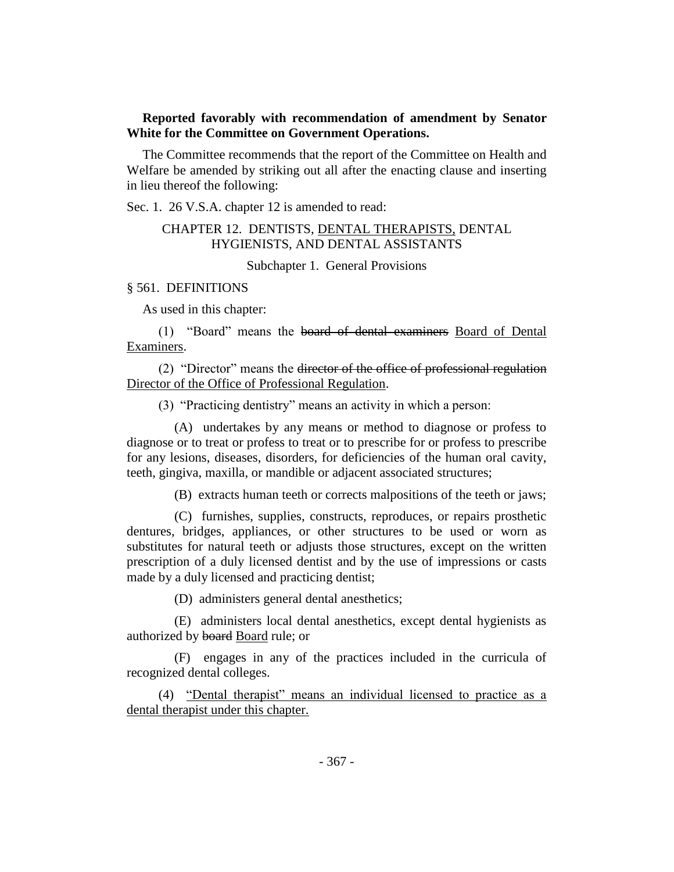# **Reported favorably with recommendation of amendment by Senator White for the Committee on Government Operations.**

The Committee recommends that the report of the Committee on Health and Welfare be amended by striking out all after the enacting clause and inserting in lieu thereof the following:

Sec. 1. 26 V.S.A. chapter 12 is amended to read:

# CHAPTER 12. DENTISTS, DENTAL THERAPISTS, DENTAL HYGIENISTS, AND DENTAL ASSISTANTS

Subchapter 1. General Provisions

#### § 561. DEFINITIONS

As used in this chapter:

(1) "Board" means the board of dental examiners Board of Dental Examiners.

(2) "Director" means the director of the office of professional regulation Director of the Office of Professional Regulation.

(3) "Practicing dentistry" means an activity in which a person:

(A) undertakes by any means or method to diagnose or profess to diagnose or to treat or profess to treat or to prescribe for or profess to prescribe for any lesions, diseases, disorders, for deficiencies of the human oral cavity, teeth, gingiva, maxilla, or mandible or adjacent associated structures;

(B) extracts human teeth or corrects malpositions of the teeth or jaws;

(C) furnishes, supplies, constructs, reproduces, or repairs prosthetic dentures, bridges, appliances, or other structures to be used or worn as substitutes for natural teeth or adjusts those structures, except on the written prescription of a duly licensed dentist and by the use of impressions or casts made by a duly licensed and practicing dentist;

(D) administers general dental anesthetics;

(E) administers local dental anesthetics, except dental hygienists as authorized by board Board rule; or

(F) engages in any of the practices included in the curricula of recognized dental colleges.

(4) "Dental therapist" means an individual licensed to practice as a dental therapist under this chapter.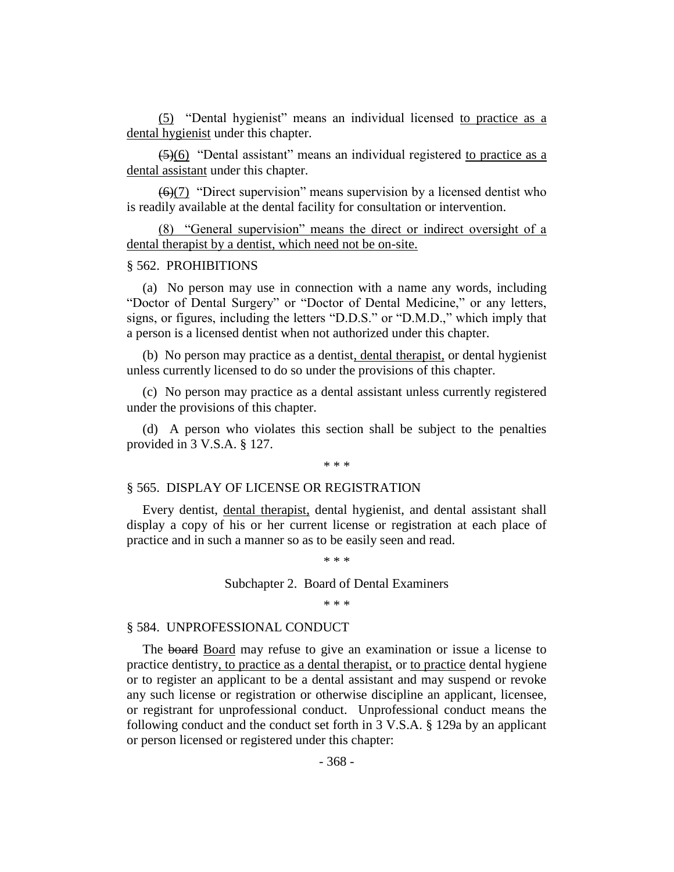(5) "Dental hygienist" means an individual licensed to practice as a dental hygienist under this chapter.

 $\left( \frac{5}{6} \right)$  "Dental assistant" means an individual registered to practice as a dental assistant under this chapter.

 $\left(\frac{6}{7}\right)$  "Direct supervision" means supervision by a licensed dentist who is readily available at the dental facility for consultation or intervention.

(8) "General supervision" means the direct or indirect oversight of a dental therapist by a dentist, which need not be on-site.

#### § 562. PROHIBITIONS

(a) No person may use in connection with a name any words, including "Doctor of Dental Surgery" or "Doctor of Dental Medicine," or any letters, signs, or figures, including the letters "D.D.S." or "D.M.D.," which imply that a person is a licensed dentist when not authorized under this chapter.

(b) No person may practice as a dentist, dental therapist, or dental hygienist unless currently licensed to do so under the provisions of this chapter.

(c) No person may practice as a dental assistant unless currently registered under the provisions of this chapter.

(d) A person who violates this section shall be subject to the penalties provided in 3 V.S.A. § 127.

\* \* \*

#### § 565. DISPLAY OF LICENSE OR REGISTRATION

Every dentist, dental therapist, dental hygienist, and dental assistant shall display a copy of his or her current license or registration at each place of practice and in such a manner so as to be easily seen and read.

#### Subchapter 2. Board of Dental Examiners

\* \* \*

\* \* \*

#### § 584. UNPROFESSIONAL CONDUCT

The board Board may refuse to give an examination or issue a license to practice dentistry, to practice as a dental therapist, or to practice dental hygiene or to register an applicant to be a dental assistant and may suspend or revoke any such license or registration or otherwise discipline an applicant, licensee, or registrant for unprofessional conduct. Unprofessional conduct means the following conduct and the conduct set forth in 3 V.S.A. § 129a by an applicant or person licensed or registered under this chapter: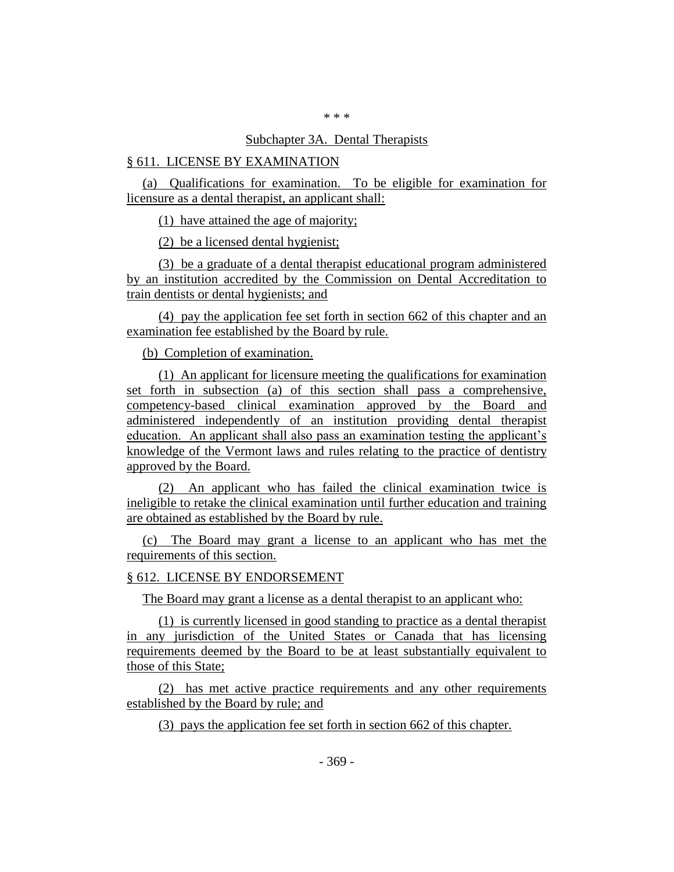#### \* \* \*

### Subchapter 3A. Dental Therapists

# § 611. LICENSE BY EXAMINATION

(a) Qualifications for examination. To be eligible for examination for licensure as a dental therapist, an applicant shall:

(1) have attained the age of majority;

(2) be a licensed dental hygienist;

(3) be a graduate of a dental therapist educational program administered by an institution accredited by the Commission on Dental Accreditation to train dentists or dental hygienists; and

(4) pay the application fee set forth in section 662 of this chapter and an examination fee established by the Board by rule.

(b) Completion of examination.

(1) An applicant for licensure meeting the qualifications for examination set forth in subsection (a) of this section shall pass a comprehensive, competency-based clinical examination approved by the Board and administered independently of an institution providing dental therapist education. An applicant shall also pass an examination testing the applicant's knowledge of the Vermont laws and rules relating to the practice of dentistry approved by the Board.

(2) An applicant who has failed the clinical examination twice is ineligible to retake the clinical examination until further education and training are obtained as established by the Board by rule.

(c) The Board may grant a license to an applicant who has met the requirements of this section.

#### § 612. LICENSE BY ENDORSEMENT

The Board may grant a license as a dental therapist to an applicant who:

(1) is currently licensed in good standing to practice as a dental therapist in any jurisdiction of the United States or Canada that has licensing requirements deemed by the Board to be at least substantially equivalent to those of this State;

(2) has met active practice requirements and any other requirements established by the Board by rule; and

(3) pays the application fee set forth in section 662 of this chapter.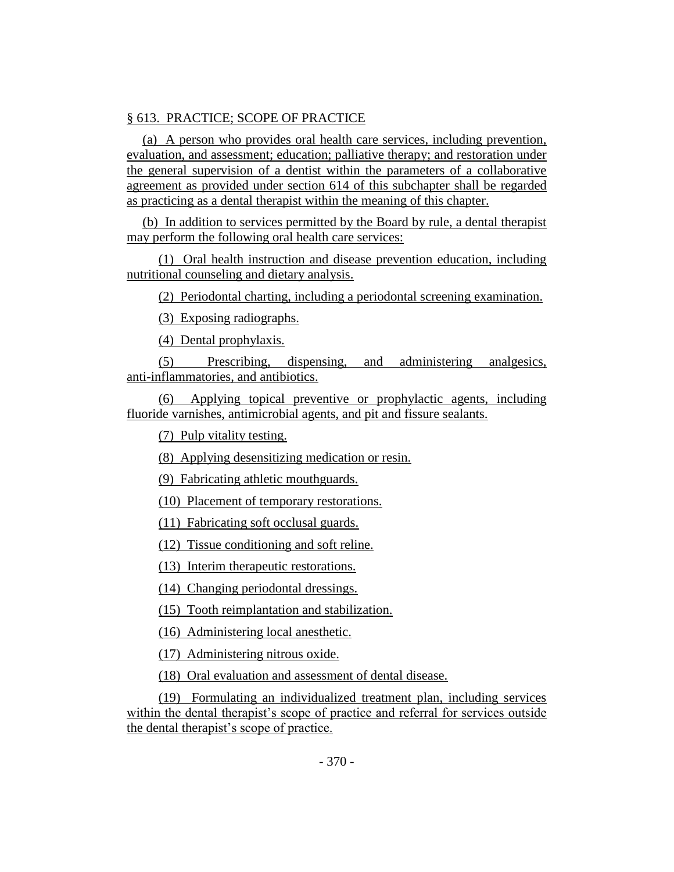# § 613. PRACTICE; SCOPE OF PRACTICE

(a) A person who provides oral health care services, including prevention, evaluation, and assessment; education; palliative therapy; and restoration under the general supervision of a dentist within the parameters of a collaborative agreement as provided under section 614 of this subchapter shall be regarded as practicing as a dental therapist within the meaning of this chapter.

(b) In addition to services permitted by the Board by rule, a dental therapist may perform the following oral health care services:

(1) Oral health instruction and disease prevention education, including nutritional counseling and dietary analysis.

(2) Periodontal charting, including a periodontal screening examination.

(3) Exposing radiographs.

(4) Dental prophylaxis.

(5) Prescribing, dispensing, and administering analgesics, anti-inflammatories, and antibiotics.

(6) Applying topical preventive or prophylactic agents, including fluoride varnishes, antimicrobial agents, and pit and fissure sealants.

(7) Pulp vitality testing.

(8) Applying desensitizing medication or resin.

(9) Fabricating athletic mouthguards.

(10) Placement of temporary restorations.

(11) Fabricating soft occlusal guards.

(12) Tissue conditioning and soft reline.

(13) Interim therapeutic restorations.

(14) Changing periodontal dressings.

(15) Tooth reimplantation and stabilization.

(16) Administering local anesthetic.

(17) Administering nitrous oxide.

(18) Oral evaluation and assessment of dental disease.

(19) Formulating an individualized treatment plan, including services within the dental therapist's scope of practice and referral for services outside the dental therapist's scope of practice.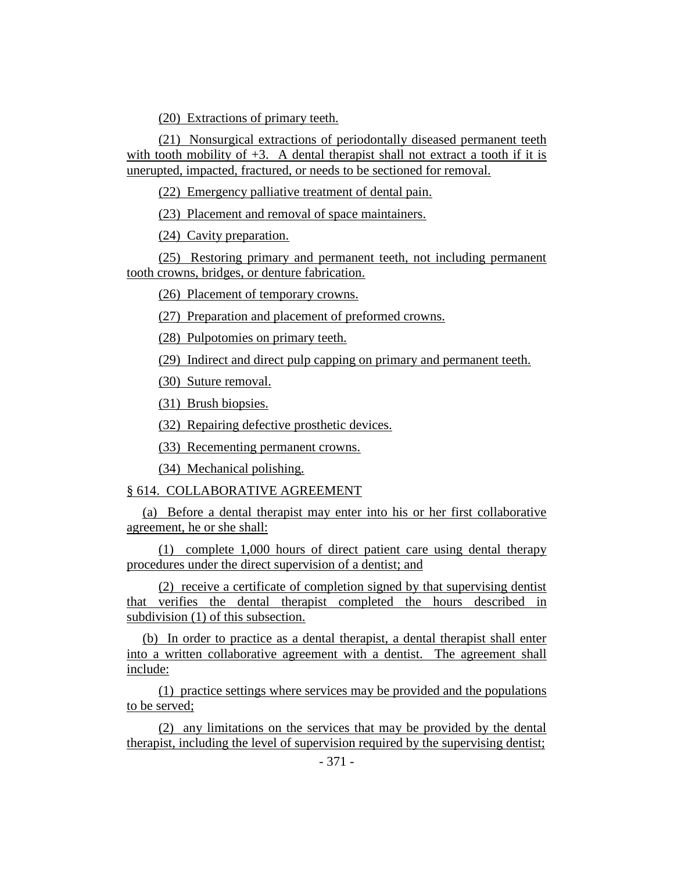(20) Extractions of primary teeth.

(21) Nonsurgical extractions of periodontally diseased permanent teeth with tooth mobility of  $+3$ . A dental therapist shall not extract a tooth if it is unerupted, impacted, fractured, or needs to be sectioned for removal.

(22) Emergency palliative treatment of dental pain.

(23) Placement and removal of space maintainers.

(24) Cavity preparation.

(25) Restoring primary and permanent teeth, not including permanent tooth crowns, bridges, or denture fabrication.

(26) Placement of temporary crowns.

(27) Preparation and placement of preformed crowns.

(28) Pulpotomies on primary teeth.

(29) Indirect and direct pulp capping on primary and permanent teeth.

(30) Suture removal.

(31) Brush biopsies.

(32) Repairing defective prosthetic devices.

(33) Recementing permanent crowns.

(34) Mechanical polishing.

#### § 614. COLLABORATIVE AGREEMENT

(a) Before a dental therapist may enter into his or her first collaborative agreement, he or she shall:

(1) complete 1,000 hours of direct patient care using dental therapy procedures under the direct supervision of a dentist; and

(2) receive a certificate of completion signed by that supervising dentist that verifies the dental therapist completed the hours described in subdivision (1) of this subsection.

(b) In order to practice as a dental therapist, a dental therapist shall enter into a written collaborative agreement with a dentist. The agreement shall include:

(1) practice settings where services may be provided and the populations to be served;

(2) any limitations on the services that may be provided by the dental therapist, including the level of supervision required by the supervising dentist;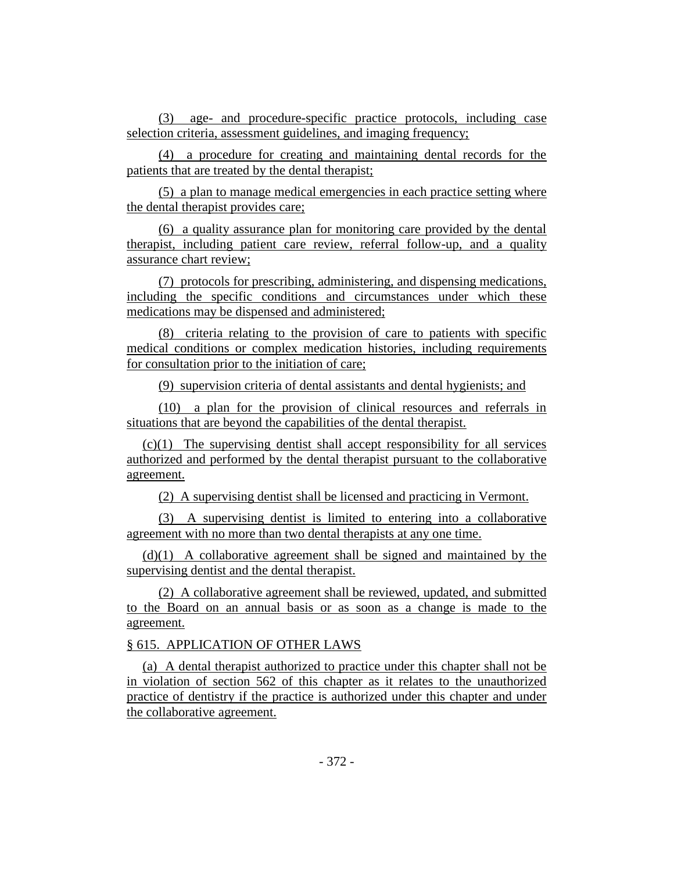(3) age- and procedure-specific practice protocols, including case selection criteria, assessment guidelines, and imaging frequency;

(4) a procedure for creating and maintaining dental records for the patients that are treated by the dental therapist;

(5) a plan to manage medical emergencies in each practice setting where the dental therapist provides care;

(6) a quality assurance plan for monitoring care provided by the dental therapist, including patient care review, referral follow-up, and a quality assurance chart review;

(7) protocols for prescribing, administering, and dispensing medications, including the specific conditions and circumstances under which these medications may be dispensed and administered;

(8) criteria relating to the provision of care to patients with specific medical conditions or complex medication histories, including requirements for consultation prior to the initiation of care;

(9) supervision criteria of dental assistants and dental hygienists; and

(10) a plan for the provision of clinical resources and referrals in situations that are beyond the capabilities of the dental therapist.

(c)(1) The supervising dentist shall accept responsibility for all services authorized and performed by the dental therapist pursuant to the collaborative agreement.

(2) A supervising dentist shall be licensed and practicing in Vermont.

(3) A supervising dentist is limited to entering into a collaborative agreement with no more than two dental therapists at any one time.

(d)(1) A collaborative agreement shall be signed and maintained by the supervising dentist and the dental therapist.

(2) A collaborative agreement shall be reviewed, updated, and submitted to the Board on an annual basis or as soon as a change is made to the agreement.

# § 615. APPLICATION OF OTHER LAWS

(a) A dental therapist authorized to practice under this chapter shall not be in violation of section 562 of this chapter as it relates to the unauthorized practice of dentistry if the practice is authorized under this chapter and under the collaborative agreement.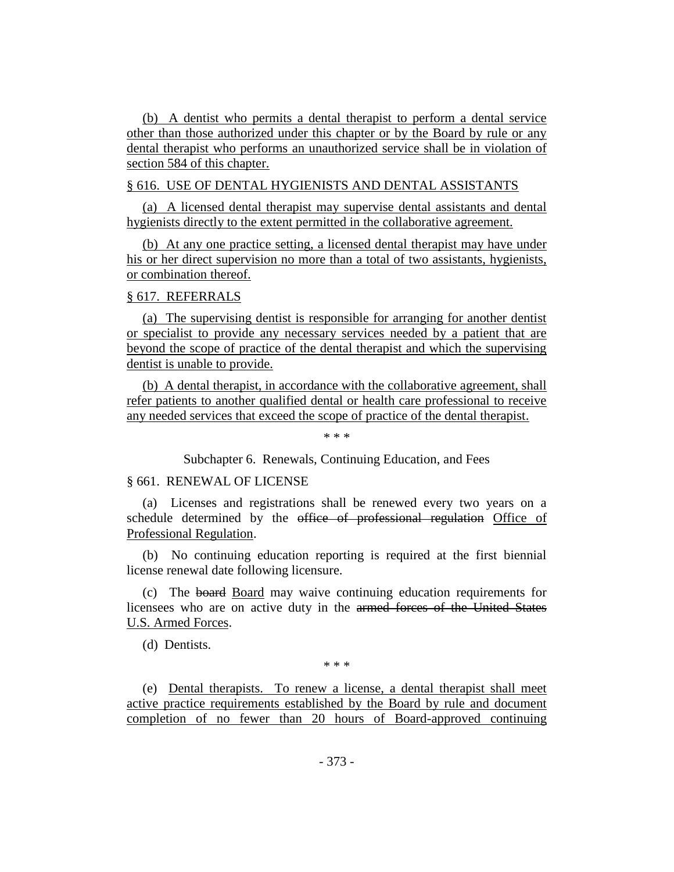(b) A dentist who permits a dental therapist to perform a dental service other than those authorized under this chapter or by the Board by rule or any dental therapist who performs an unauthorized service shall be in violation of section 584 of this chapter.

#### § 616. USE OF DENTAL HYGIENISTS AND DENTAL ASSISTANTS

(a) A licensed dental therapist may supervise dental assistants and dental hygienists directly to the extent permitted in the collaborative agreement.

(b) At any one practice setting, a licensed dental therapist may have under his or her direct supervision no more than a total of two assistants, hygienists, or combination thereof.

#### § 617. REFERRALS

(a) The supervising dentist is responsible for arranging for another dentist or specialist to provide any necessary services needed by a patient that are beyond the scope of practice of the dental therapist and which the supervising dentist is unable to provide.

(b) A dental therapist, in accordance with the collaborative agreement, shall refer patients to another qualified dental or health care professional to receive any needed services that exceed the scope of practice of the dental therapist.

\* \* \*

Subchapter 6. Renewals, Continuing Education, and Fees

# § 661. RENEWAL OF LICENSE

(a) Licenses and registrations shall be renewed every two years on a schedule determined by the office of professional regulation Office of Professional Regulation.

(b) No continuing education reporting is required at the first biennial license renewal date following licensure.

(c) The board Board may waive continuing education requirements for licensees who are on active duty in the armed forces of the United States U.S. Armed Forces.

(d) Dentists.

\* \* \*

(e) Dental therapists. To renew a license, a dental therapist shall meet active practice requirements established by the Board by rule and document completion of no fewer than 20 hours of Board-approved continuing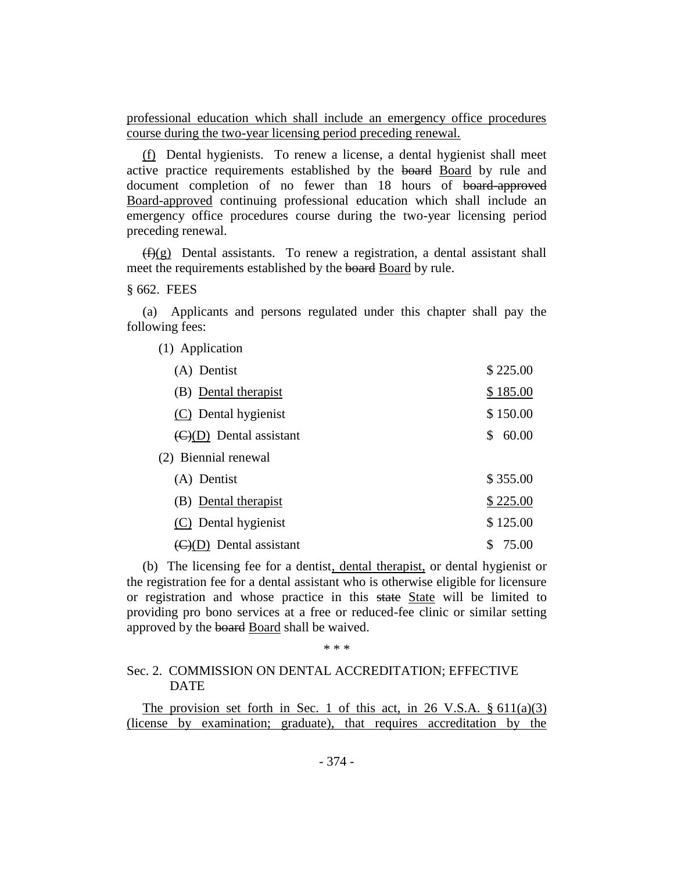professional education which shall include an emergency office procedures course during the two-year licensing period preceding renewal.

(f) Dental hygienists. To renew a license, a dental hygienist shall meet active practice requirements established by the board Board by rule and document completion of no fewer than 18 hours of board-approved Board-approved continuing professional education which shall include an emergency office procedures course during the two-year licensing period preceding renewal.

 $(f)(g)$  Dental assistants. To renew a registration, a dental assistant shall meet the requirements established by the board Board by rule.

§ 662. FEES

(a) Applicants and persons regulated under this chapter shall pay the following fees:

| (1) Application                             |             |
|---------------------------------------------|-------------|
| (A) Dentist                                 | \$225.00    |
| (B) Dental therapist                        | \$185.00    |
| (C) Dental hygienist                        | \$150.00    |
| $\left(\frac{C}{D}\right)$ Dental assistant | 60.00<br>\$ |
| (2) Biennial renewal                        |             |
| (A) Dentist                                 | \$355.00    |
| (B) Dental therapist                        | \$225.00    |
| (C) Dental hygienist                        | \$125.00    |
| $\left(\frac{C}{D}\right)$ Dental assistant | \$<br>75.00 |

(b) The licensing fee for a dentist, dental therapist, or dental hygienist or the registration fee for a dental assistant who is otherwise eligible for licensure or registration and whose practice in this state State will be limited to providing pro bono services at a free or reduced-fee clinic or similar setting approved by the board Board shall be waived.

\* \* \*

#### Sec. 2. COMMISSION ON DENTAL ACCREDITATION; EFFECTIVE DATE

The provision set forth in Sec. 1 of this act, in 26 V.S.A.  $\S 611(a)(3)$ (license by examination; graduate), that requires accreditation by the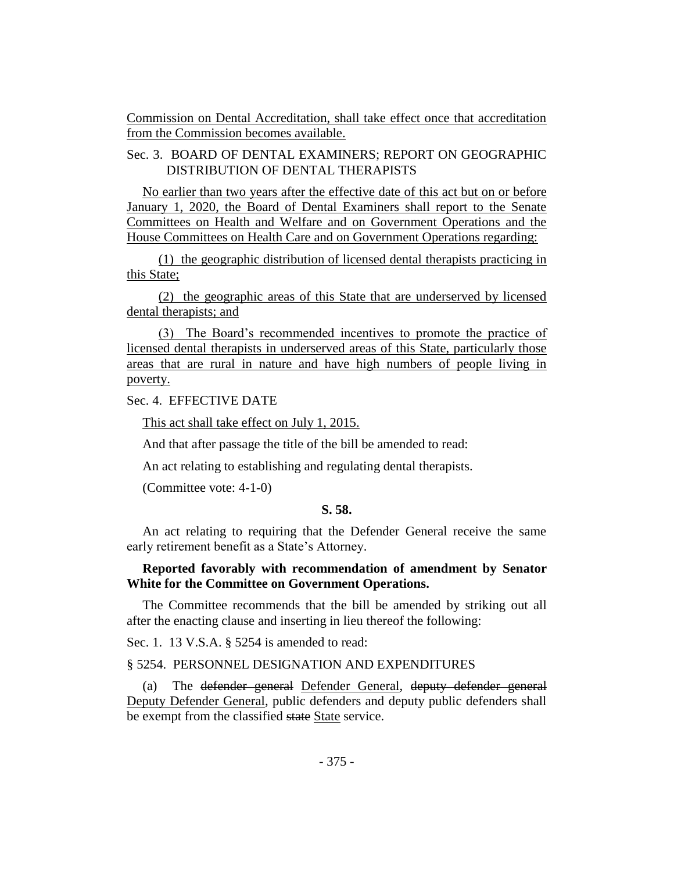Commission on Dental Accreditation, shall take effect once that accreditation from the Commission becomes available.

# Sec. 3. BOARD OF DENTAL EXAMINERS; REPORT ON GEOGRAPHIC DISTRIBUTION OF DENTAL THERAPISTS

No earlier than two years after the effective date of this act but on or before January 1, 2020, the Board of Dental Examiners shall report to the Senate Committees on Health and Welfare and on Government Operations and the House Committees on Health Care and on Government Operations regarding:

(1) the geographic distribution of licensed dental therapists practicing in this State;

(2) the geographic areas of this State that are underserved by licensed dental therapists; and

(3) The Board's recommended incentives to promote the practice of licensed dental therapists in underserved areas of this State, particularly those areas that are rural in nature and have high numbers of people living in poverty.

Sec. 4. EFFECTIVE DATE

This act shall take effect on July 1, 2015.

And that after passage the title of the bill be amended to read:

An act relating to establishing and regulating dental therapists.

(Committee vote: 4-1-0)

# **S. 58.**

An act relating to requiring that the Defender General receive the same early retirement benefit as a State's Attorney.

# **Reported favorably with recommendation of amendment by Senator White for the Committee on Government Operations.**

The Committee recommends that the bill be amended by striking out all after the enacting clause and inserting in lieu thereof the following:

Sec. 1. 13 V.S.A. § 5254 is amended to read:

#### § 5254. PERSONNEL DESIGNATION AND EXPENDITURES

(a) The defender general Defender General, deputy defender general Deputy Defender General, public defenders and deputy public defenders shall be exempt from the classified state State service.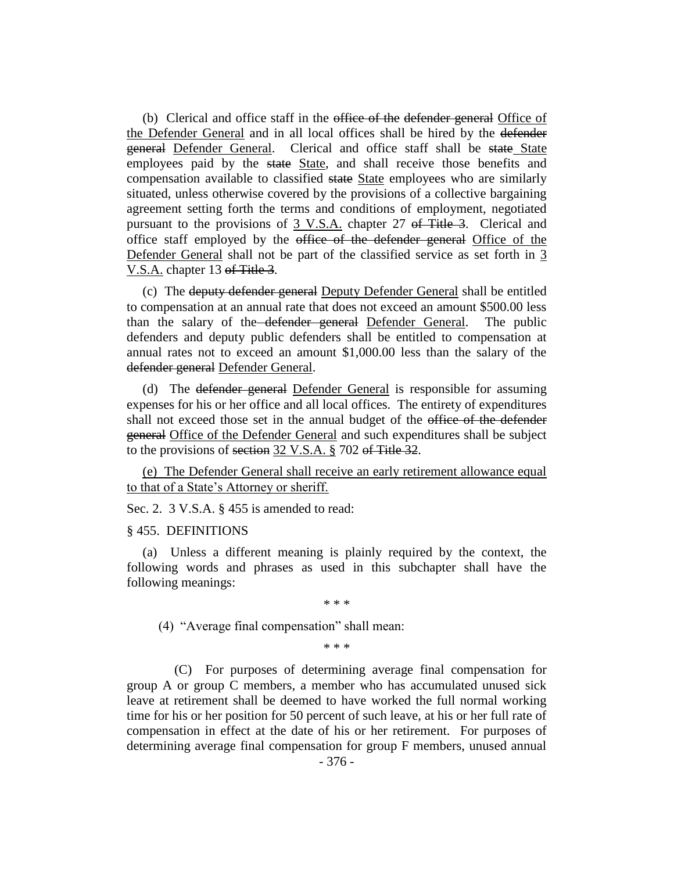(b) Clerical and office staff in the office of the defender general Office of the Defender General and in all local offices shall be hired by the defender general Defender General. Clerical and office staff shall be state State employees paid by the state State, and shall receive those benefits and compensation available to classified state State employees who are similarly situated, unless otherwise covered by the provisions of a collective bargaining agreement setting forth the terms and conditions of employment, negotiated pursuant to the provisions of 3 V.S.A. chapter 27 of Title 3. Clerical and office staff employed by the office of the defender general Office of the Defender General shall not be part of the classified service as set forth in 3 V.S.A. chapter 13 of Title 3.

(c) The deputy defender general Deputy Defender General shall be entitled to compensation at an annual rate that does not exceed an amount \$500.00 less than the salary of the defender general Defender General. The public defenders and deputy public defenders shall be entitled to compensation at annual rates not to exceed an amount \$1,000.00 less than the salary of the defender general Defender General.

(d) The defender general Defender General is responsible for assuming expenses for his or her office and all local offices. The entirety of expenditures shall not exceed those set in the annual budget of the office of the defender general Office of the Defender General and such expenditures shall be subject to the provisions of section 32 V.S.A. § 702 of Title 32.

(e) The Defender General shall receive an early retirement allowance equal to that of a State's Attorney or sheriff.

Sec. 2. 3 V.S.A. § 455 is amended to read:

#### § 455. DEFINITIONS

(a) Unless a different meaning is plainly required by the context, the following words and phrases as used in this subchapter shall have the following meanings:

\* \* \*

(4) "Average final compensation" shall mean:

\* \* \*

(C) For purposes of determining average final compensation for group A or group C members, a member who has accumulated unused sick leave at retirement shall be deemed to have worked the full normal working time for his or her position for 50 percent of such leave, at his or her full rate of compensation in effect at the date of his or her retirement. For purposes of determining average final compensation for group F members, unused annual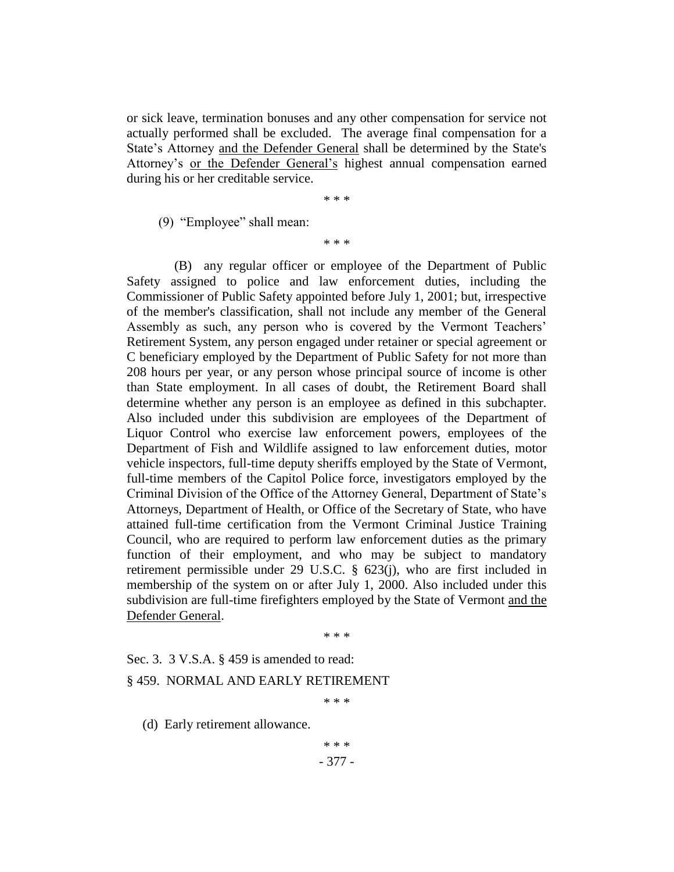or sick leave, termination bonuses and any other compensation for service not actually performed shall be excluded. The average final compensation for a State's Attorney and the Defender General shall be determined by the State's Attorney's or the Defender General's highest annual compensation earned during his or her creditable service.

\* \* \*

(9) "Employee" shall mean:

\* \* \*

(B) any regular officer or employee of the Department of Public Safety assigned to police and law enforcement duties, including the Commissioner of Public Safety appointed before July 1, 2001; but, irrespective of the member's classification, shall not include any member of the General Assembly as such, any person who is covered by the Vermont Teachers' Retirement System, any person engaged under retainer or special agreement or C beneficiary employed by the Department of Public Safety for not more than 208 hours per year, or any person whose principal source of income is other than State employment. In all cases of doubt, the Retirement Board shall determine whether any person is an employee as defined in this subchapter. Also included under this subdivision are employees of the Department of Liquor Control who exercise law enforcement powers, employees of the Department of Fish and Wildlife assigned to law enforcement duties, motor vehicle inspectors, full-time deputy sheriffs employed by the State of Vermont, full-time members of the Capitol Police force, investigators employed by the Criminal Division of the Office of the Attorney General, Department of State's Attorneys, Department of Health, or Office of the Secretary of State, who have attained full-time certification from the Vermont Criminal Justice Training Council, who are required to perform law enforcement duties as the primary function of their employment, and who may be subject to mandatory retirement permissible under 29 U.S.C. § 623(j), who are first included in membership of the system on or after July 1, 2000. Also included under this subdivision are full-time firefighters employed by the State of Vermont and the Defender General.

\* \* \*

Sec. 3. 3 V.S.A. § 459 is amended to read:

#### § 459. NORMAL AND EARLY RETIREMENT

\* \* \*

(d) Early retirement allowance.

- 377 - \* \* \*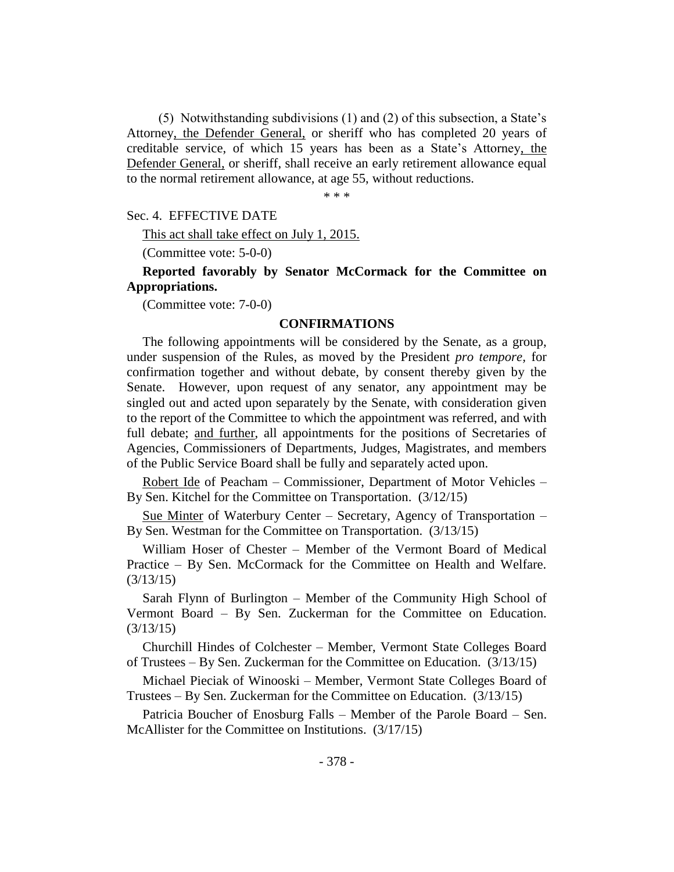(5) Notwithstanding subdivisions (1) and (2) of this subsection, a State's Attorney, the Defender General, or sheriff who has completed 20 years of creditable service, of which 15 years has been as a State's Attorney, the Defender General, or sheriff, shall receive an early retirement allowance equal to the normal retirement allowance, at age 55, without reductions.

\* \* \*

Sec. 4. EFFECTIVE DATE

This act shall take effect on July 1, 2015.

(Committee vote: 5-0-0)

**Reported favorably by Senator McCormack for the Committee on Appropriations.**

(Committee vote: 7-0-0)

#### **CONFIRMATIONS**

The following appointments will be considered by the Senate, as a group, under suspension of the Rules, as moved by the President *pro tempore,* for confirmation together and without debate, by consent thereby given by the Senate. However, upon request of any senator, any appointment may be singled out and acted upon separately by the Senate, with consideration given to the report of the Committee to which the appointment was referred, and with full debate; and further, all appointments for the positions of Secretaries of Agencies, Commissioners of Departments, Judges, Magistrates, and members of the Public Service Board shall be fully and separately acted upon.

Robert Ide of Peacham – Commissioner, Department of Motor Vehicles – By Sen. Kitchel for the Committee on Transportation. (3/12/15)

Sue Minter of Waterbury Center – Secretary, Agency of Transportation – By Sen. Westman for the Committee on Transportation. (3/13/15)

William Hoser of Chester – Member of the Vermont Board of Medical Practice – By Sen. McCormack for the Committee on Health and Welfare. (3/13/15)

Sarah Flynn of Burlington – Member of the Community High School of Vermont Board – By Sen. Zuckerman for the Committee on Education. (3/13/15)

Churchill Hindes of Colchester – Member, Vermont State Colleges Board of Trustees – By Sen. Zuckerman for the Committee on Education. (3/13/15)

Michael Pieciak of Winooski – Member, Vermont State Colleges Board of Trustees – By Sen. Zuckerman for the Committee on Education. (3/13/15)

Patricia Boucher of Enosburg Falls – Member of the Parole Board – Sen. McAllister for the Committee on Institutions. (3/17/15)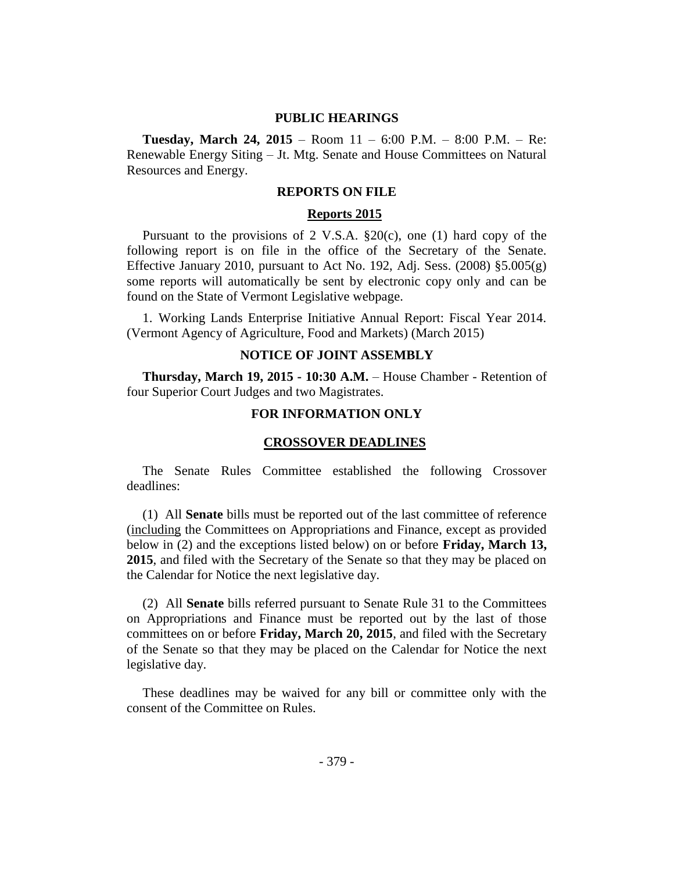#### **PUBLIC HEARINGS**

**Tuesday, March 24, 2015** – Room 11 – 6:00 P.M. – 8:00 P.M. – Re: Renewable Energy Siting – Jt. Mtg. Senate and House Committees on Natural Resources and Energy.

#### **REPORTS ON FILE**

#### **Reports 2015**

Pursuant to the provisions of 2 V.S.A.  $\S20(c)$ , one (1) hard copy of the following report is on file in the office of the Secretary of the Senate. Effective January 2010, pursuant to Act No. 192, Adj. Sess.  $(2008)$  §5.005 $(g)$ some reports will automatically be sent by electronic copy only and can be found on the State of Vermont Legislative webpage.

1. Working Lands Enterprise Initiative Annual Report: Fiscal Year 2014. (Vermont Agency of Agriculture, Food and Markets) (March 2015)

#### **NOTICE OF JOINT ASSEMBLY**

**Thursday, March 19, 2015 - 10:30 A.M.** – House Chamber - Retention of four Superior Court Judges and two Magistrates.

#### **FOR INFORMATION ONLY**

#### **CROSSOVER DEADLINES**

The Senate Rules Committee established the following Crossover deadlines:

(1) All **Senate** bills must be reported out of the last committee of reference (including the Committees on Appropriations and Finance, except as provided below in (2) and the exceptions listed below) on or before **Friday, March 13, 2015**, and filed with the Secretary of the Senate so that they may be placed on the Calendar for Notice the next legislative day.

(2) All **Senate** bills referred pursuant to Senate Rule 31 to the Committees on Appropriations and Finance must be reported out by the last of those committees on or before **Friday, March 20, 2015**, and filed with the Secretary of the Senate so that they may be placed on the Calendar for Notice the next legislative day.

These deadlines may be waived for any bill or committee only with the consent of the Committee on Rules.